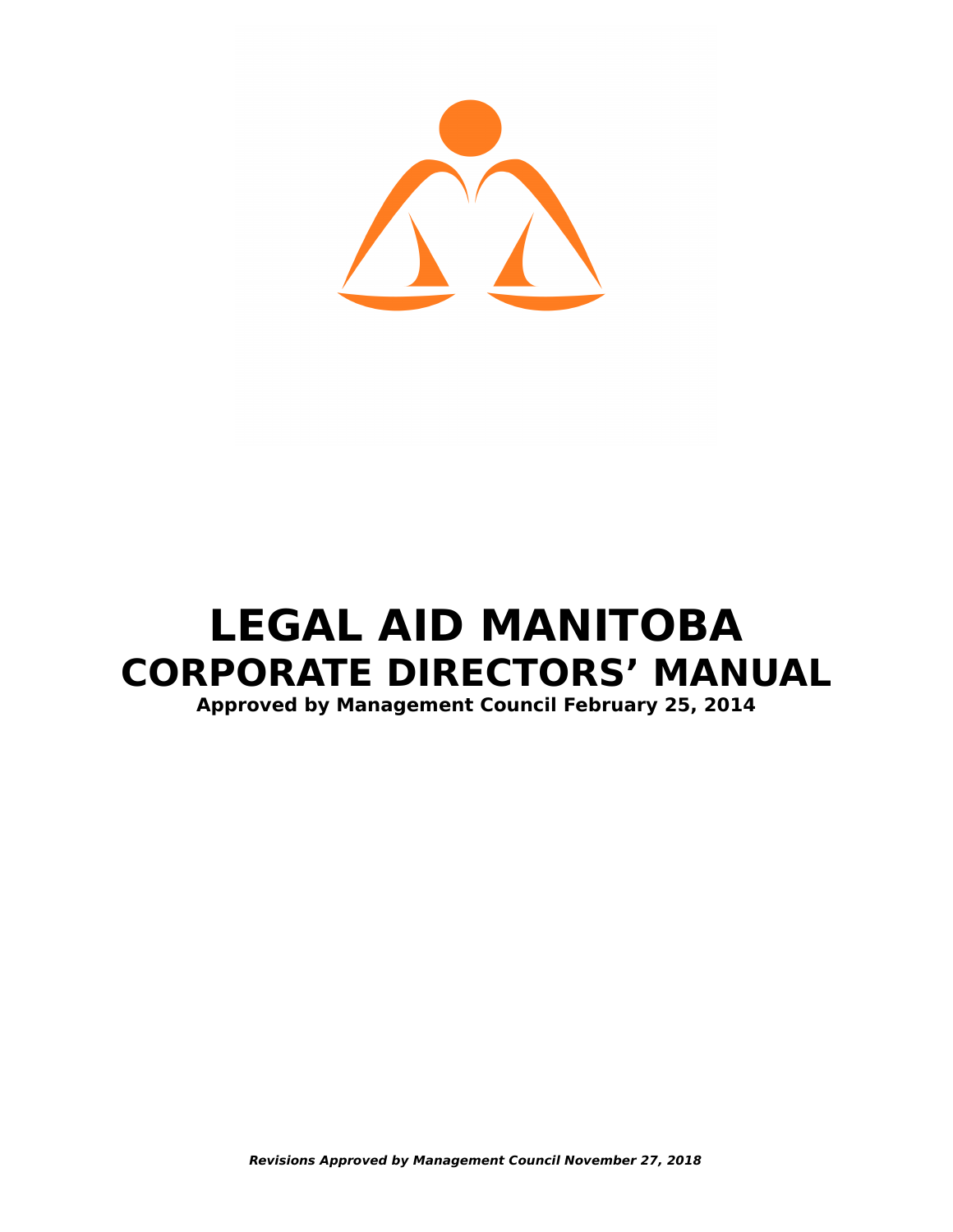

# **LEGAL AID MANITOBA CORPORATE DIRECTORS' MANUAL Approved by Management Council February 25, 2014**

**Revisions Approved by Management Council November 27, 2018**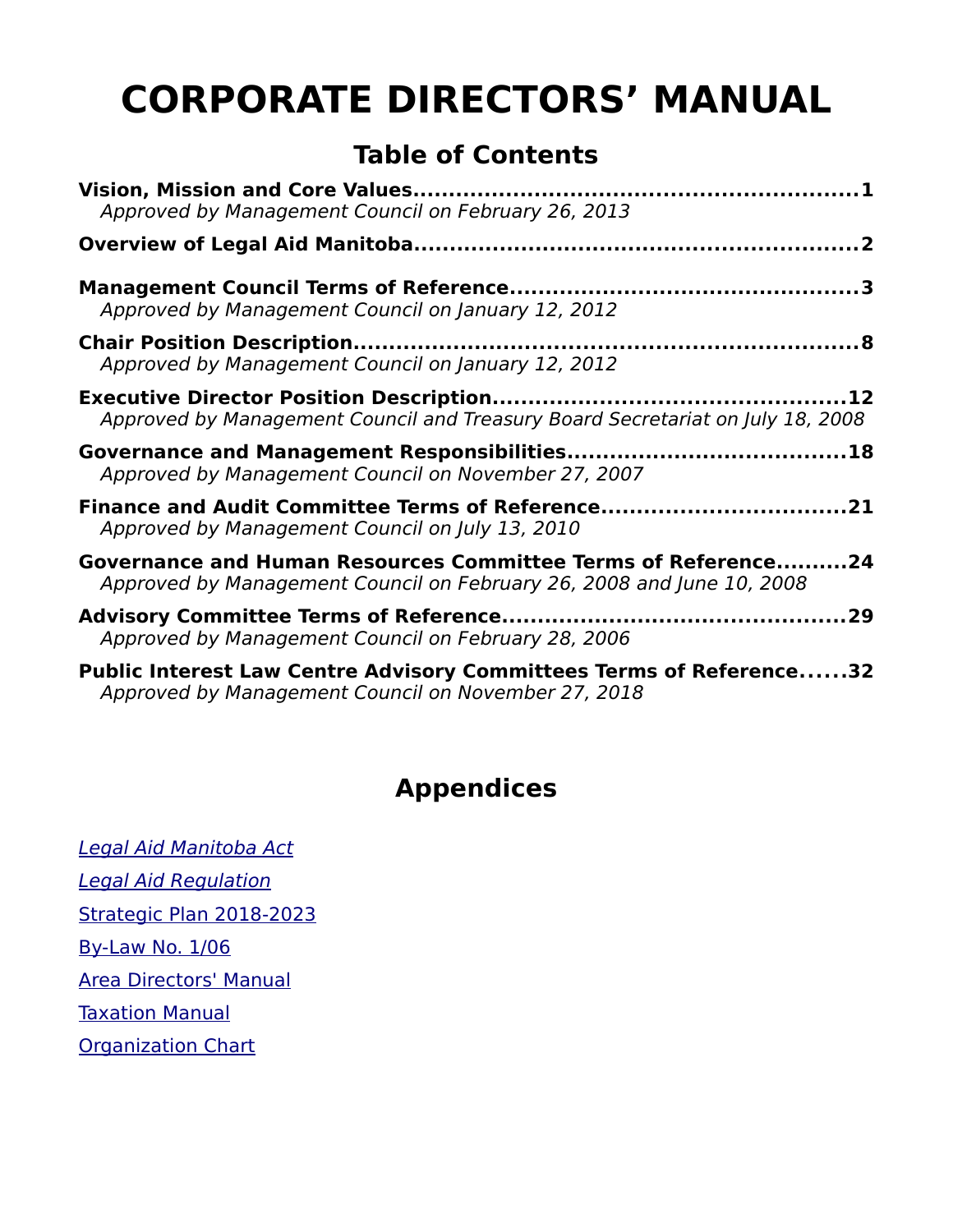# **CORPORATE DIRECTORS' MANUAL**

# **Table of Contents**

| Approved by Management Council on February 26, 2013                                                                                    |
|----------------------------------------------------------------------------------------------------------------------------------------|
|                                                                                                                                        |
| Approved by Management Council on January 12, 2012                                                                                     |
| Approved by Management Council on January 12, 2012                                                                                     |
| Approved by Management Council and Treasury Board Secretariat on July 18, 2008                                                         |
| Approved by Management Council on November 27, 2007                                                                                    |
| Approved by Management Council on July 13, 2010                                                                                        |
| Governance and Human Resources Committee Terms of Reference24<br>Approved by Management Council on February 26, 2008 and June 10, 2008 |
| Approved by Management Council on February 28, 2006                                                                                    |
| <b>Public Interest Law Centre Advisory Committees Terms of Reference32</b><br>Approved by Management Council on November 27, 2018      |

# **Appendices**

[Legal Aid Manitoba Act](https://web2.gov.mb.ca/laws/statutes/ccsm/l105e.php) [Legal Aid Regulation](http://web2.gov.mb.ca/laws/regs/current/_pdf-regs.php?reg=225/91) [Strategic Plan 2018-2023](https://www.legalaid.mb.ca/wp-content/WordPress/PDF/LAM_Strategic_Plan.pdf) [By-Law No. 1/06](http://www.legalaid.mb.ca/pdf/appealcommittee/General%20By-Law%2025-02-14.pdf) [Area Directors' Manual](http://www.legalaid.mb.ca/pdf/ADM_EXTERNAL_May27_2014.pdf) [Taxation Manual](http://www.legalaid.mb.ca/pdf/Taxation_Manual.pdf) **[Organization Chart](http://www.legalaid.mb.ca/pdf/appealcommittee/Org%20Chart%2029-05-14.pdf)**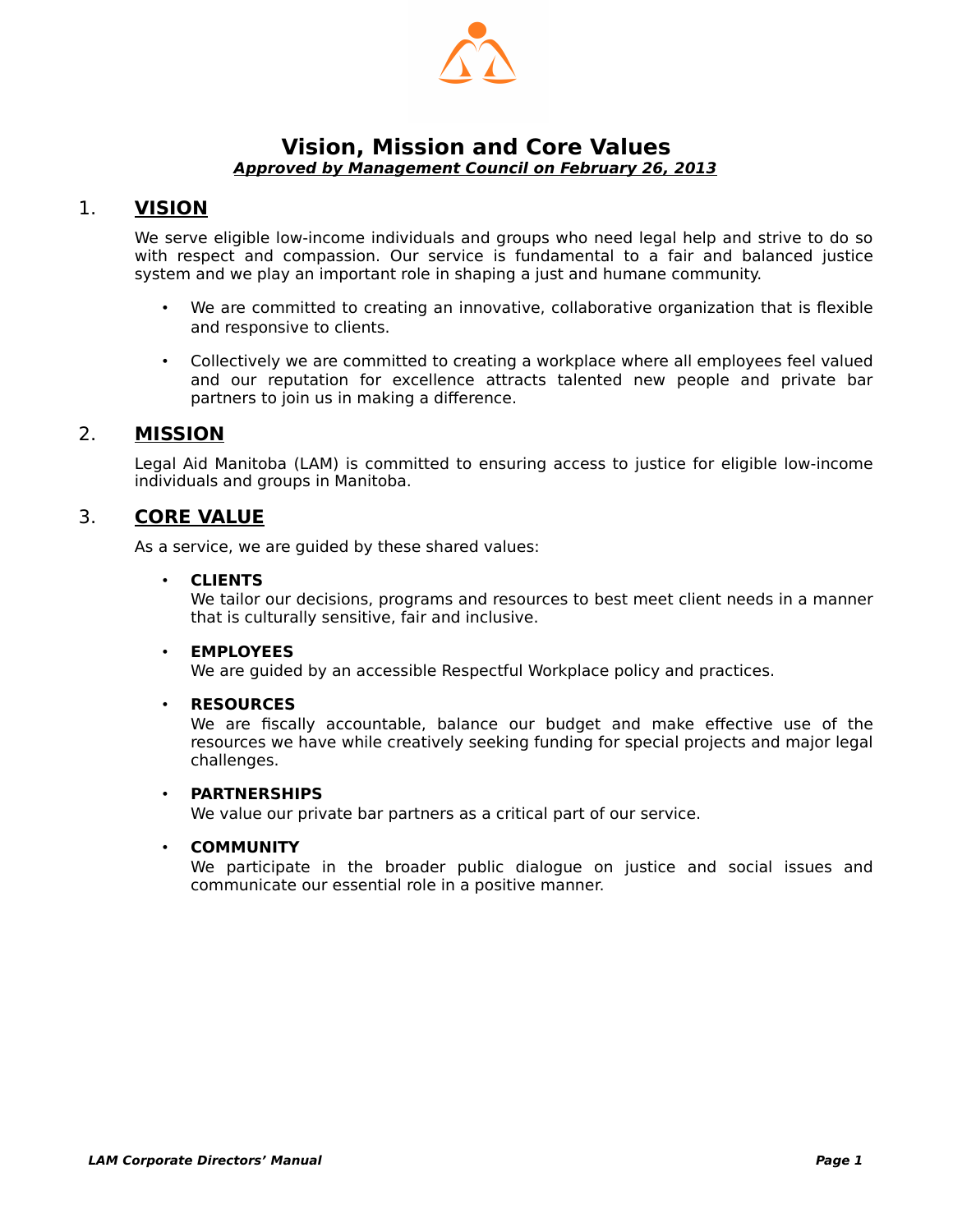

#### <span id="page-2-1"></span><span id="page-2-0"></span>**Vision, Mission and Core Values Approved by Management Council on February 26, 2013**

#### 1. **VISION**

We serve eligible low-income individuals and groups who need legal help and strive to do so with respect and compassion. Our service is fundamental to a fair and balanced justice system and we play an important role in shaping a just and humane community.

- We are committed to creating an innovative, collaborative organization that is flexible and responsive to clients.
- Collectively we are committed to creating a workplace where all employees feel valued and our reputation for excellence attracts talented new people and private bar partners to join us in making a difference.

#### 2. **MISSION**

Legal Aid Manitoba (LAM) is committed to ensuring access to justice for eligible low-income individuals and groups in Manitoba.

#### 3. **CORE VALUE**

As a service, we are guided by these shared values:

#### • **CLIENTS**

We tailor our decisions, programs and resources to best meet client needs in a manner that is culturally sensitive, fair and inclusive.

#### • **EMPLOYEES**

We are guided by an accessible Respectful Workplace policy and practices.

#### • **RESOURCES**

We are fiscally accountable, balance our budget and make effective use of the resources we have while creatively seeking funding for special projects and major legal challenges.

#### • **PARTNERSHIPS**

We value our private bar partners as a critical part of our service.

#### • **COMMUNITY**

We participate in the broader public dialogue on justice and social issues and communicate our essential role in a positive manner.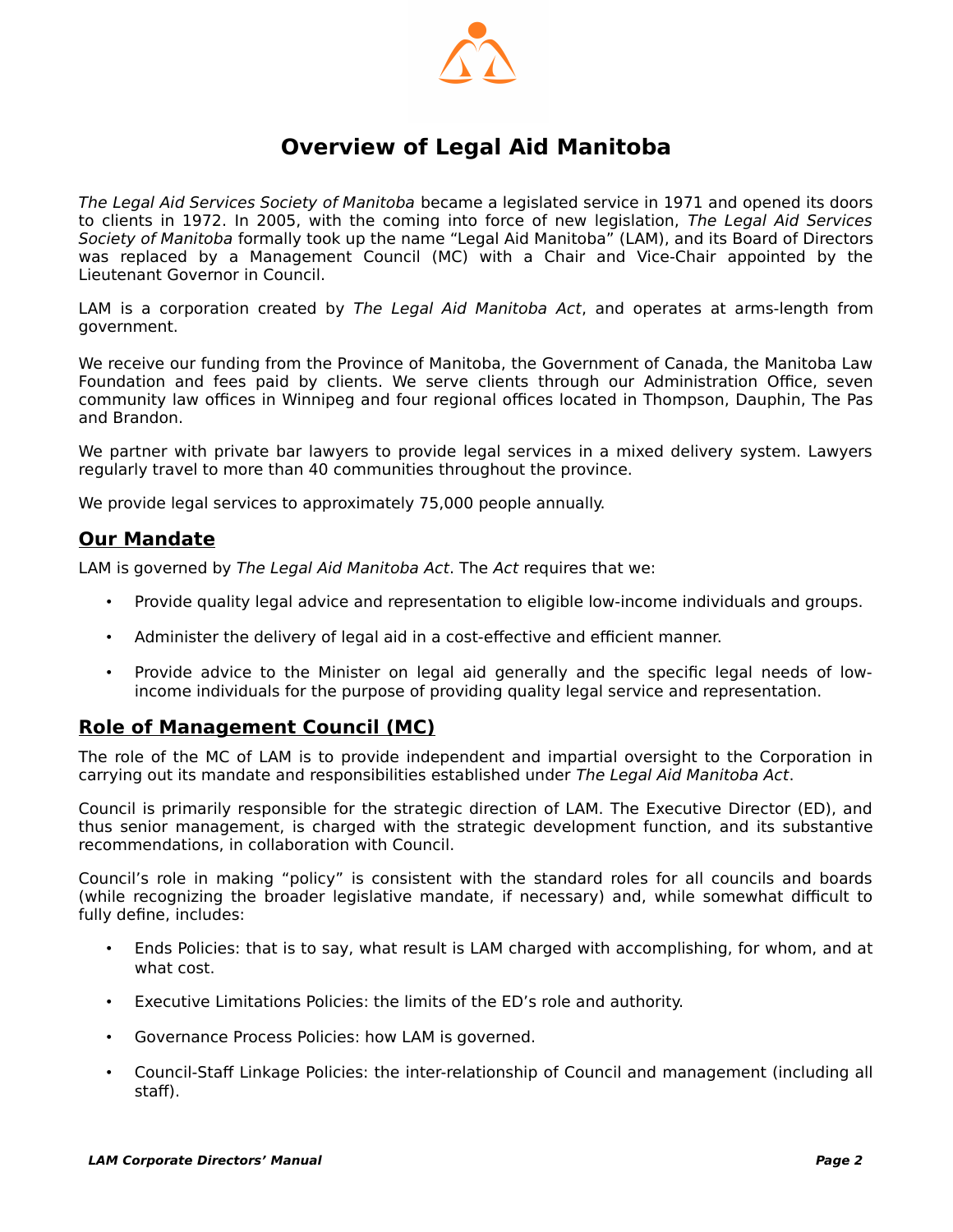

### <span id="page-3-0"></span>**Overview of Legal Aid Manitoba**

The Legal Aid Services Society of Manitoba became a legislated service in 1971 and opened its doors to clients in 1972. In 2005, with the coming into force of new legislation, The Legal Aid Services Society of Manitoba formally took up the name "Legal Aid Manitoba" (LAM), and its Board of Directors was replaced by a Management Council (MC) with a Chair and Vice-Chair appointed by the Lieutenant Governor in Council.

LAM is a corporation created by The Legal Aid Manitoba Act, and operates at arms-length from government.

We receive our funding from the Province of Manitoba, the Government of Canada, the Manitoba Law Foundation and fees paid by clients. We serve clients through our Administration Office, seven community law offices in Winnipeg and four regional offices located in Thompson, Dauphin, The Pas and Brandon.

We partner with private bar lawyers to provide legal services in a mixed delivery system. Lawyers regularly travel to more than 40 communities throughout the province.

We provide legal services to approximately 75,000 people annually.

#### **Our Mandate**

LAM is governed by The Legal Aid Manitoba Act. The Act requires that we:

- Provide quality legal advice and representation to eligible low-income individuals and groups.
- Administer the delivery of legal aid in a cost-effective and efficient manner.
- Provide advice to the Minister on legal aid generally and the specific legal needs of lowincome individuals for the purpose of providing quality legal service and representation.

#### **Role of Management Council (MC)**

The role of the MC of LAM is to provide independent and impartial oversight to the Corporation in carrying out its mandate and responsibilities established under The Legal Aid Manitoba Act.

Council is primarily responsible for the strategic direction of LAM. The Executive Director (ED), and thus senior management, is charged with the strategic development function, and its substantive recommendations, in collaboration with Council.

Council's role in making "policy" is consistent with the standard roles for all councils and boards (while recognizing the broader legislative mandate, if necessary) and, while somewhat difficult to fully define, includes:

- Ends Policies: that is to say, what result is LAM charged with accomplishing, for whom, and at what cost.
- Executive Limitations Policies: the limits of the ED's role and authority.
- Governance Process Policies: how LAM is governed.
- Council-Staff Linkage Policies: the inter-relationship of Council and management (including all staff).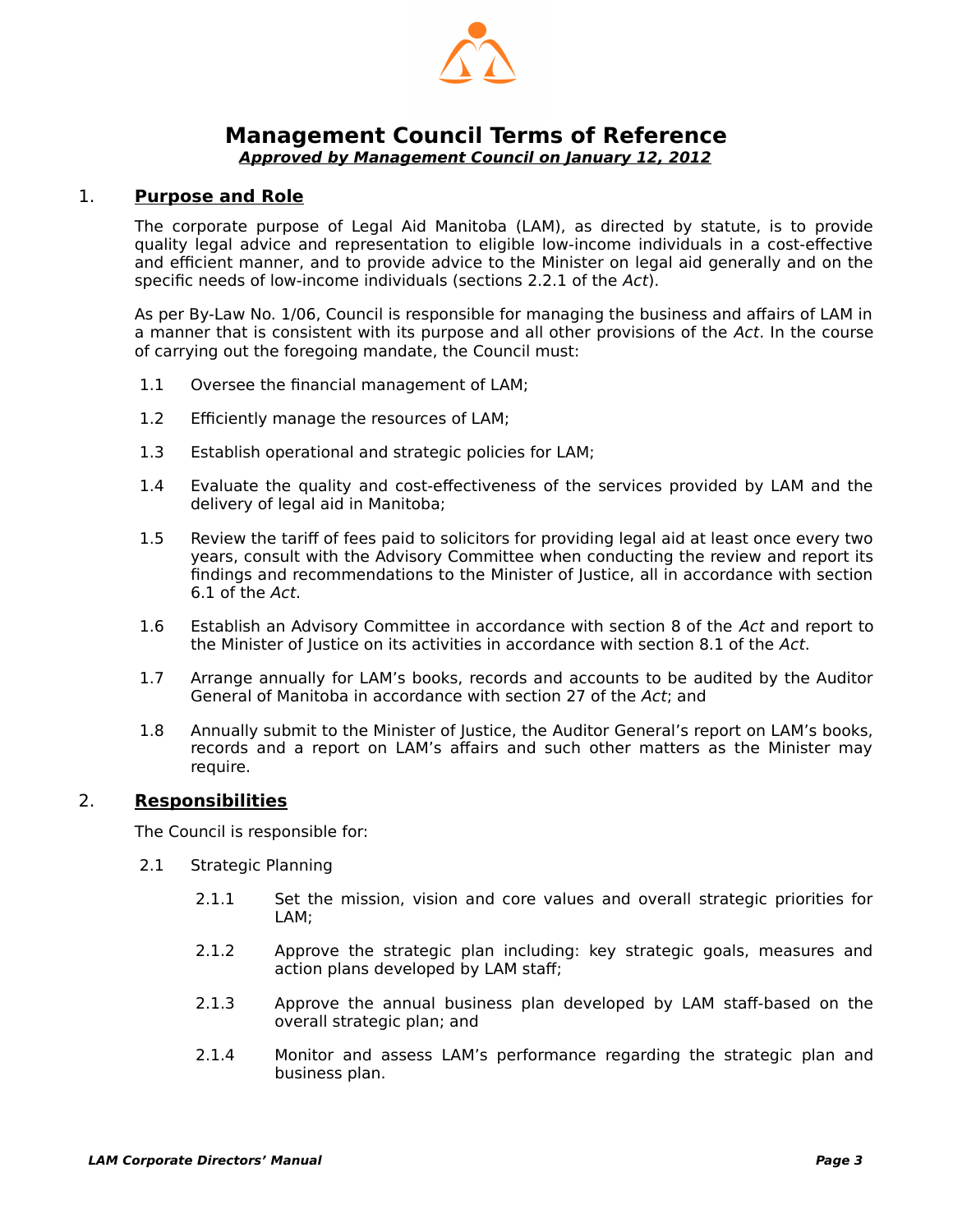

## <span id="page-4-1"></span>**Management Council Terms of Reference**

<span id="page-4-0"></span>**Approved by Management Council on January 12, 2012**

#### 1. **Purpose and Role**

The corporate purpose of Legal Aid Manitoba (LAM), as directed by statute, is to provide quality legal advice and representation to eligible low-income individuals in a cost-effective and efficient manner, and to provide advice to the Minister on legal aid generally and on the specific needs of low-income individuals (sections 2.2.1 of the Act).

As per By-Law No. 1/06, Council is responsible for managing the business and affairs of LAM in a manner that is consistent with its purpose and all other provisions of the Act. In the course of carrying out the foregoing mandate, the Council must:

- 1.1 Oversee the financial management of LAM;
- 1.2 Efficiently manage the resources of LAM;
- 1.3 Establish operational and strategic policies for LAM;
- 1.4 Evaluate the quality and cost-effectiveness of the services provided by LAM and the delivery of legal aid in Manitoba;
- 1.5 Review the tariff of fees paid to solicitors for providing legal aid at least once every two years, consult with the Advisory Committee when conducting the review and report its findings and recommendations to the Minister of Justice, all in accordance with section 6.1 of the Act.
- 1.6 Establish an Advisory Committee in accordance with section 8 of the Act and report to the Minister of Justice on its activities in accordance with section 8.1 of the Act.
- 1.7 Arrange annually for LAM's books, records and accounts to be audited by the Auditor General of Manitoba in accordance with section 27 of the Act; and
- 1.8 Annually submit to the Minister of Justice, the Auditor General's report on LAM's books, records and a report on LAM's affairs and such other matters as the Minister may require.

#### 2. **Responsibilities**

The Council is responsible for:

- 2.1 Strategic Planning
	- 2.1.1 Set the mission, vision and core values and overall strategic priorities for LAM;
	- 2.1.2 Approve the strategic plan including: key strategic goals, measures and action plans developed by LAM staff;
	- 2.1.3 Approve the annual business plan developed by LAM staff-based on the overall strategic plan; and
	- 2.1.4 Monitor and assess LAM's performance regarding the strategic plan and business plan.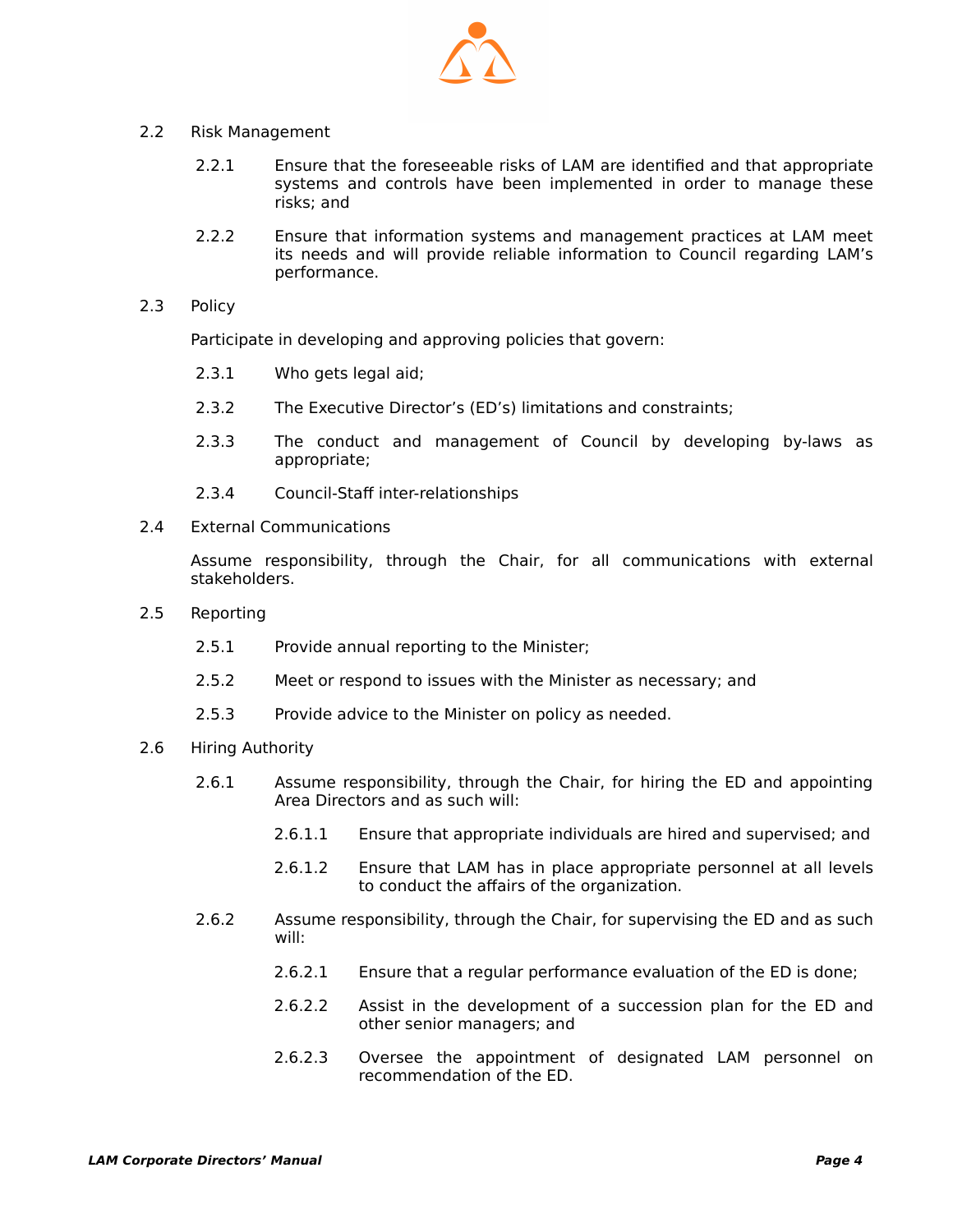

#### 2.2 Risk Management

- 2.2.1 Ensure that the foreseeable risks of LAM are identified and that appropriate systems and controls have been implemented in order to manage these risks; and
- 2.2.2 Ensure that information systems and management practices at LAM meet its needs and will provide reliable information to Council regarding LAM's performance.
- 2.3 Policy

Participate in developing and approving policies that govern:

- 2.3.1 Who gets legal aid;
- 2.3.2 The Executive Director's (ED's) limitations and constraints;
- 2.3.3 The conduct and management of Council by developing by-laws as appropriate;
- 2.3.4 Council-Staff inter-relationships
- 2.4 External Communications

Assume responsibility, through the Chair, for all communications with external stakeholders.

- 2.5 Reporting
	- 2.5.1 Provide annual reporting to the Minister;
	- 2.5.2 Meet or respond to issues with the Minister as necessary; and
	- 2.5.3 Provide advice to the Minister on policy as needed.
- 2.6 Hiring Authority
	- 2.6.1 Assume responsibility, through the Chair, for hiring the ED and appointing Area Directors and as such will:
		- 2.6.1.1 Ensure that appropriate individuals are hired and supervised; and
		- 2.6.1.2 Ensure that LAM has in place appropriate personnel at all levels to conduct the affairs of the organization.
	- 2.6.2 Assume responsibility, through the Chair, for supervising the ED and as such will:
		- 2.6.2.1 Ensure that a regular performance evaluation of the ED is done;
		- 2.6.2.2 Assist in the development of a succession plan for the ED and other senior managers; and
		- 2.6.2.3 Oversee the appointment of designated LAM personnel on recommendation of the ED.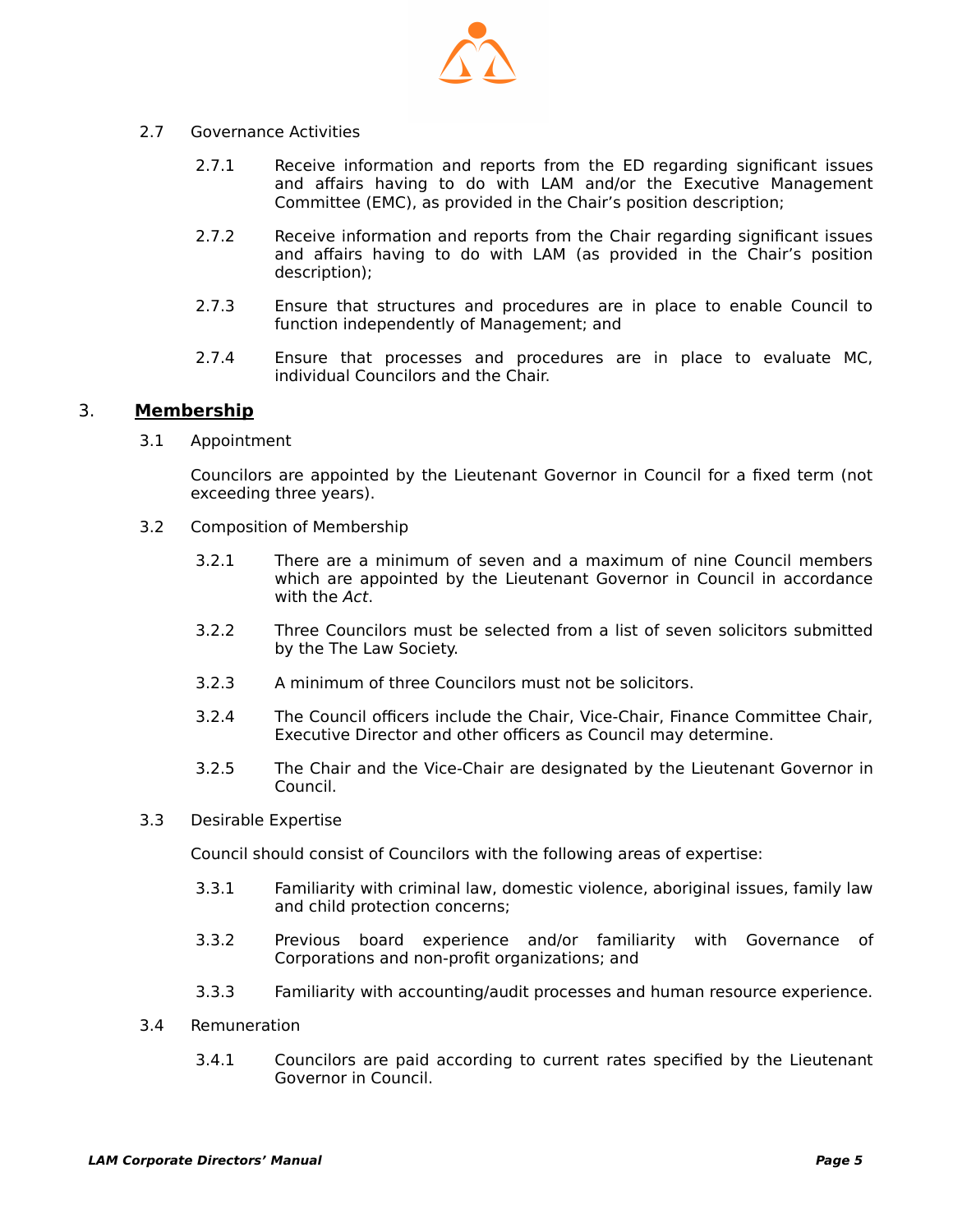

- 2.7 Governance Activities
	- 2.7.1 Receive information and reports from the ED regarding significant issues and affairs having to do with LAM and/or the Executive Management Committee (EMC), as provided in the Chair's position description;
	- 2.7.2 Receive information and reports from the Chair regarding significant issues and affairs having to do with LAM (as provided in the Chair's position description);
	- 2.7.3 Ensure that structures and procedures are in place to enable Council to function independently of Management; and
	- 2.7.4 Ensure that processes and procedures are in place to evaluate MC, individual Councilors and the Chair.

#### 3. **Membership**

3.1 Appointment

Councilors are appointed by the Lieutenant Governor in Council for a fixed term (not exceeding three years).

- 3.2 Composition of Membership
	- 3.2.1 There are a minimum of seven and a maximum of nine Council members which are appointed by the Lieutenant Governor in Council in accordance with the Act.
	- 3.2.2 Three Councilors must be selected from a list of seven solicitors submitted by the The Law Society.
	- 3.2.3 A minimum of three Councilors must not be solicitors.
	- 3.2.4 The Council officers include the Chair, Vice-Chair, Finance Committee Chair, Executive Director and other officers as Council may determine.
	- 3.2.5 The Chair and the Vice-Chair are designated by the Lieutenant Governor in Council.
- 3.3 Desirable Expertise

Council should consist of Councilors with the following areas of expertise:

- 3.3.1 Familiarity with criminal law, domestic violence, aboriginal issues, family law and child protection concerns;
- 3.3.2 Previous board experience and/or familiarity with Governance of Corporations and non-profit organizations; and
- 3.3.3 Familiarity with accounting/audit processes and human resource experience.
- 3.4 Remuneration
	- 3.4.1 Councilors are paid according to current rates specified by the Lieutenant Governor in Council.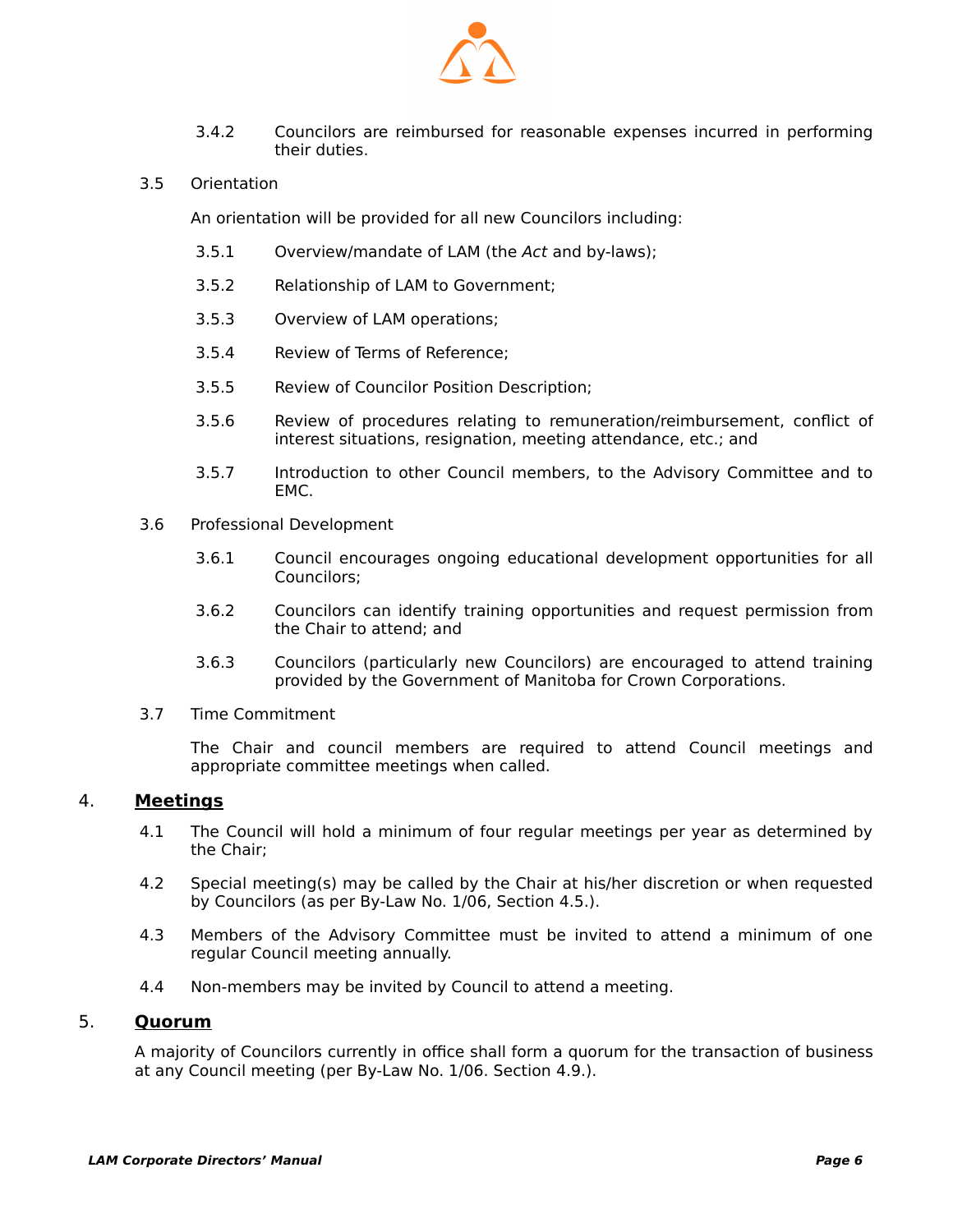

- 3.4.2 Councilors are reimbursed for reasonable expenses incurred in performing their duties.
- 3.5 Orientation

An orientation will be provided for all new Councilors including:

- 3.5.1 Overview/mandate of LAM (the Act and by-laws);
- 3.5.2 Relationship of LAM to Government;
- 3.5.3 Overview of LAM operations;
- 3.5.4 Review of Terms of Reference;
- 3.5.5 Review of Councilor Position Description;
- 3.5.6 Review of procedures relating to remuneration/reimbursement, conflict of interest situations, resignation, meeting attendance, etc.; and
- 3.5.7 Introduction to other Council members, to the Advisory Committee and to EMC.
- 3.6 Professional Development
	- 3.6.1 Council encourages ongoing educational development opportunities for all Councilors;
	- 3.6.2 Councilors can identify training opportunities and request permission from the Chair to attend; and
	- 3.6.3 Councilors (particularly new Councilors) are encouraged to attend training provided by the Government of Manitoba for Crown Corporations.
- 3.7 Time Commitment

The Chair and council members are required to attend Council meetings and appropriate committee meetings when called.

#### 4. **Meetings**

- 4.1 The Council will hold a minimum of four regular meetings per year as determined by the Chair;
- 4.2 Special meeting(s) may be called by the Chair at his/her discretion or when requested by Councilors (as per By-Law No. 1/06, Section 4.5.).
- 4.3 Members of the Advisory Committee must be invited to attend a minimum of one regular Council meeting annually.
- 4.4 Non-members may be invited by Council to attend a meeting.

#### 5. **Quorum**

A majority of Councilors currently in office shall form a quorum for the transaction of business at any Council meeting (per By-Law No. 1/06. Section 4.9.).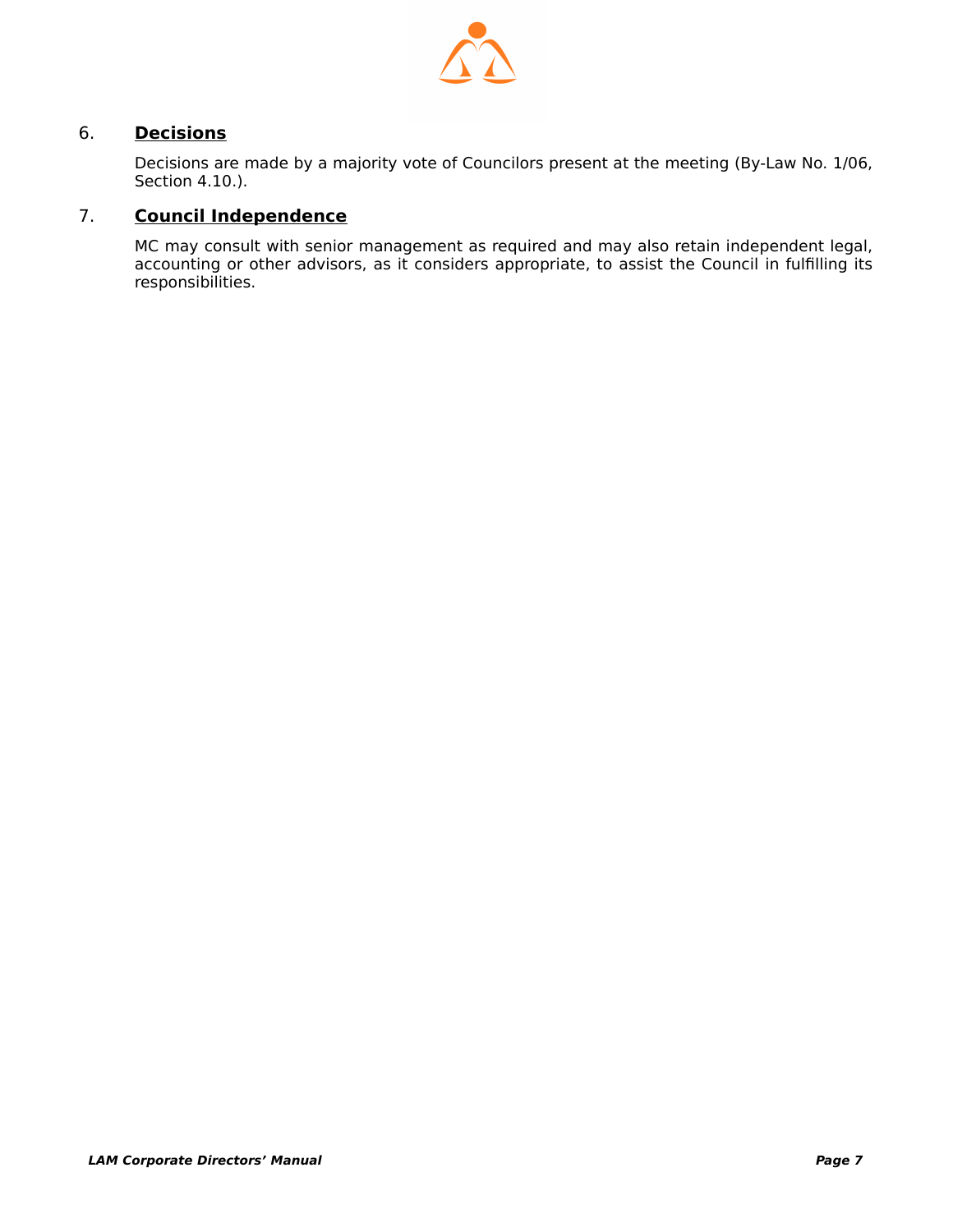

#### 6. **Decisions**

Decisions are made by a majority vote of Councilors present at the meeting (By-Law No. 1/06, Section 4.10.).

#### 7. **Council Independence**

MC may consult with senior management as required and may also retain independent legal, accounting or other advisors, as it considers appropriate, to assist the Council in fulfilling its responsibilities.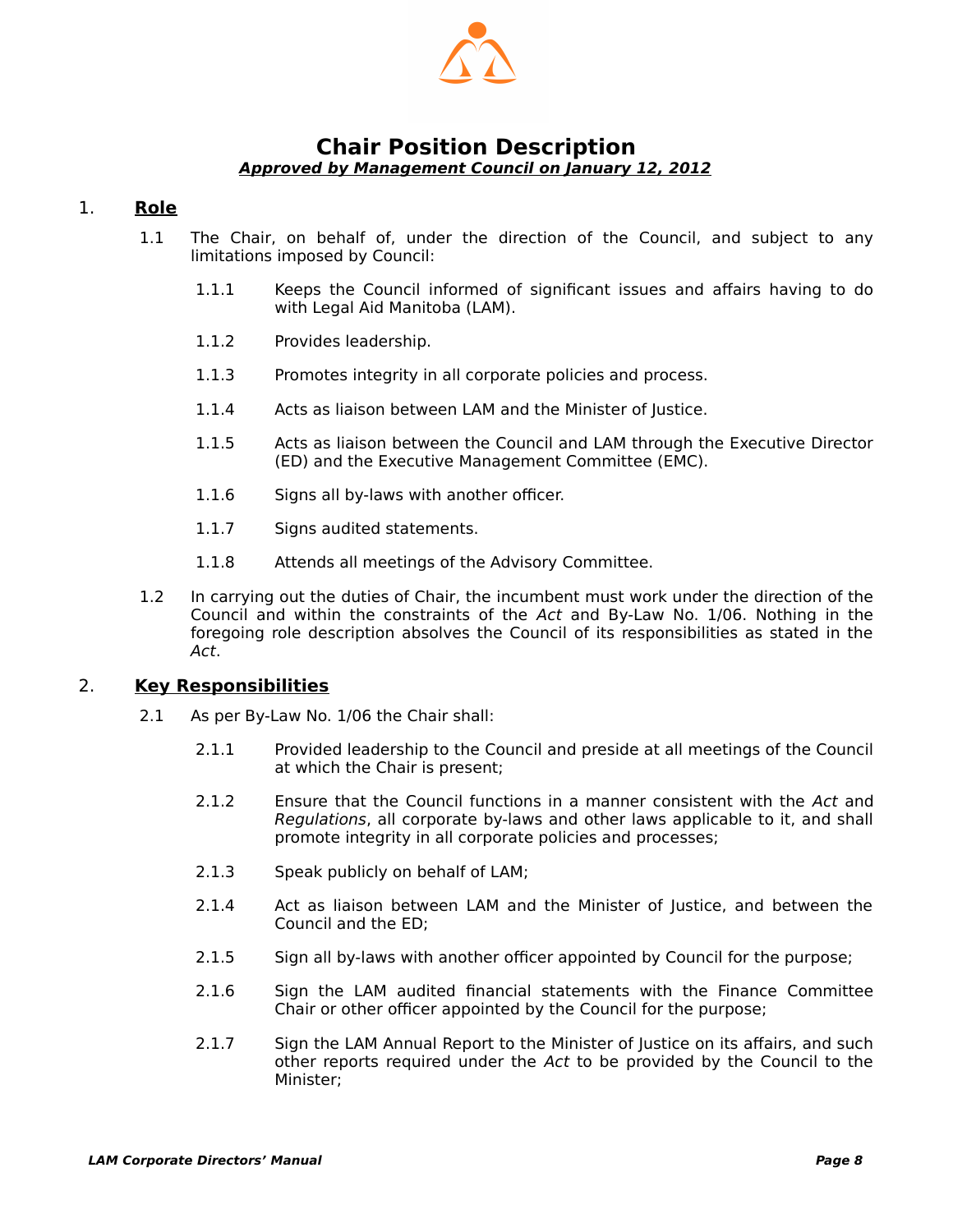

#### <span id="page-9-1"></span><span id="page-9-0"></span>**Chair Position Description Approved by Management Council on January 12, 2012**

#### 1. **Role**

- 1.1 The Chair, on behalf of, under the direction of the Council, and subject to any limitations imposed by Council:
	- 1.1.1 Keeps the Council informed of significant issues and affairs having to do with Legal Aid Manitoba (LAM).
	- 1.1.2 Provides leadership.
	- 1.1.3 Promotes integrity in all corporate policies and process.
	- 1.1.4 Acts as liaison between LAM and the Minister of Justice.
	- 1.1.5 Acts as liaison between the Council and LAM through the Executive Director (ED) and the Executive Management Committee (EMC).
	- 1.1.6 Signs all by-laws with another officer.
	- 1.1.7 Signs audited statements.
	- 1.1.8 Attends all meetings of the Advisory Committee.
- 1.2 In carrying out the duties of Chair, the incumbent must work under the direction of the Council and within the constraints of the Act and By-Law No. 1/06. Nothing in the foregoing role description absolves the Council of its responsibilities as stated in the Act.

#### 2. **Key Responsibilities**

- 2.1 As per By-Law No. 1/06 the Chair shall:
	- 2.1.1 Provided leadership to the Council and preside at all meetings of the Council at which the Chair is present;
	- 2.1.2 Ensure that the Council functions in a manner consistent with the Act and Regulations, all corporate by-laws and other laws applicable to it, and shall promote integrity in all corporate policies and processes;
	- 2.1.3 Speak publicly on behalf of LAM;
	- 2.1.4 Act as liaison between LAM and the Minister of Justice, and between the Council and the ED;
	- 2.1.5 Sign all by-laws with another officer appointed by Council for the purpose;
	- 2.1.6 Sign the LAM audited financial statements with the Finance Committee Chair or other officer appointed by the Council for the purpose;
	- 2.1.7 Sign the LAM Annual Report to the Minister of Justice on its affairs, and such other reports required under the Act to be provided by the Council to the Minister;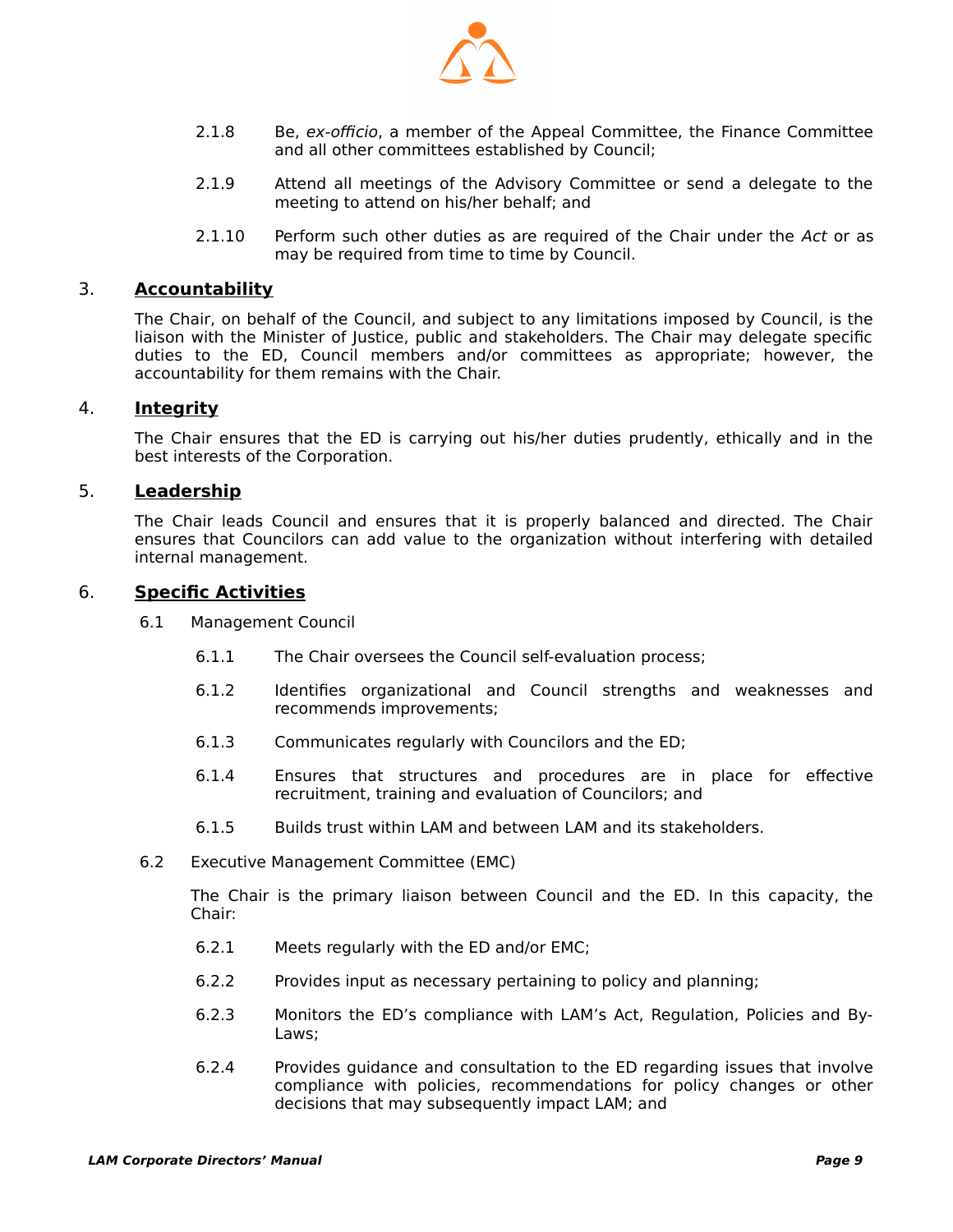

- 2.1.8 Be, ex-officio, a member of the Appeal Committee, the Finance Committee and all other committees established by Council;
- 2.1.9 Attend all meetings of the Advisory Committee or send a delegate to the meeting to attend on his/her behalf; and
- 2.1.10 Perform such other duties as are required of the Chair under the Act or as may be required from time to time by Council.

#### 3. **Accountability**

The Chair, on behalf of the Council, and subject to any limitations imposed by Council, is the liaison with the Minister of Justice, public and stakeholders. The Chair may delegate specific duties to the ED, Council members and/or committees as appropriate; however, the accountability for them remains with the Chair.

#### 4. **Integrity**

The Chair ensures that the ED is carrying out his/her duties prudently, ethically and in the best interests of the Corporation.

#### 5. **Leadership**

The Chair leads Council and ensures that it is properly balanced and directed. The Chair ensures that Councilors can add value to the organization without interfering with detailed internal management.

#### 6. **Specific Activities**

- 6.1 Management Council
	- 6.1.1 The Chair oversees the Council self-evaluation process;
	- 6.1.2 Identifies organizational and Council strengths and weaknesses and recommends improvements;
	- 6.1.3 Communicates regularly with Councilors and the ED;
	- 6.1.4 Ensures that structures and procedures are in place for effective recruitment, training and evaluation of Councilors; and
	- 6.1.5 Builds trust within LAM and between LAM and its stakeholders.
- 6.2 Executive Management Committee (EMC)

The Chair is the primary liaison between Council and the ED. In this capacity, the Chair:

- 6.2.1 Meets regularly with the ED and/or EMC;
- 6.2.2 Provides input as necessary pertaining to policy and planning;
- 6.2.3 Monitors the ED's compliance with LAM's Act, Regulation, Policies and By-Laws;
- 6.2.4 Provides guidance and consultation to the ED regarding issues that involve compliance with policies, recommendations for policy changes or other decisions that may subsequently impact LAM; and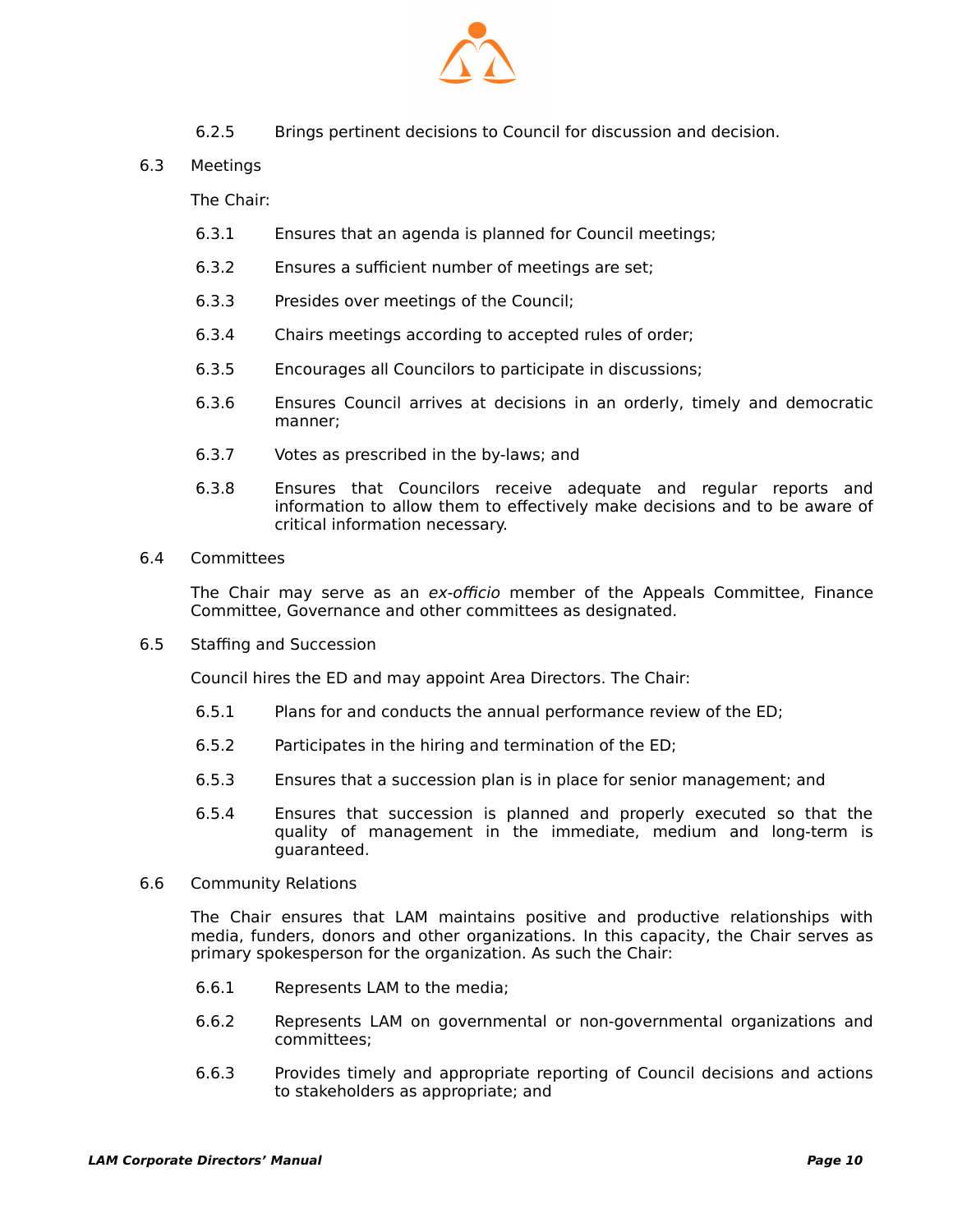

- 6.2.5 Brings pertinent decisions to Council for discussion and decision.
- 6.3 Meetings

The Chair:

- 6.3.1 Ensures that an agenda is planned for Council meetings;
- 6.3.2 Ensures a sufficient number of meetings are set;
- 6.3.3 Presides over meetings of the Council;
- 6.3.4 Chairs meetings according to accepted rules of order;
- 6.3.5 Encourages all Councilors to participate in discussions;
- 6.3.6 Ensures Council arrives at decisions in an orderly, timely and democratic manner;
- 6.3.7 Votes as prescribed in the by-laws; and
- 6.3.8 Ensures that Councilors receive adequate and regular reports and information to allow them to effectively make decisions and to be aware of critical information necessary.
- 6.4 Committees

The Chair may serve as an ex-officio member of the Appeals Committee, Finance Committee, Governance and other committees as designated.

6.5 Staffing and Succession

Council hires the ED and may appoint Area Directors. The Chair:

- 6.5.1 Plans for and conducts the annual performance review of the ED;
- 6.5.2 Participates in the hiring and termination of the ED;
- 6.5.3 Ensures that a succession plan is in place for senior management; and
- 6.5.4 Ensures that succession is planned and properly executed so that the quality of management in the immediate, medium and long-term is guaranteed.
- 6.6 Community Relations

The Chair ensures that LAM maintains positive and productive relationships with media, funders, donors and other organizations. In this capacity, the Chair serves as primary spokesperson for the organization. As such the Chair:

- 6.6.1 Represents LAM to the media;
- 6.6.2 Represents LAM on governmental or non-governmental organizations and committees;
- 6.6.3 Provides timely and appropriate reporting of Council decisions and actions to stakeholders as appropriate; and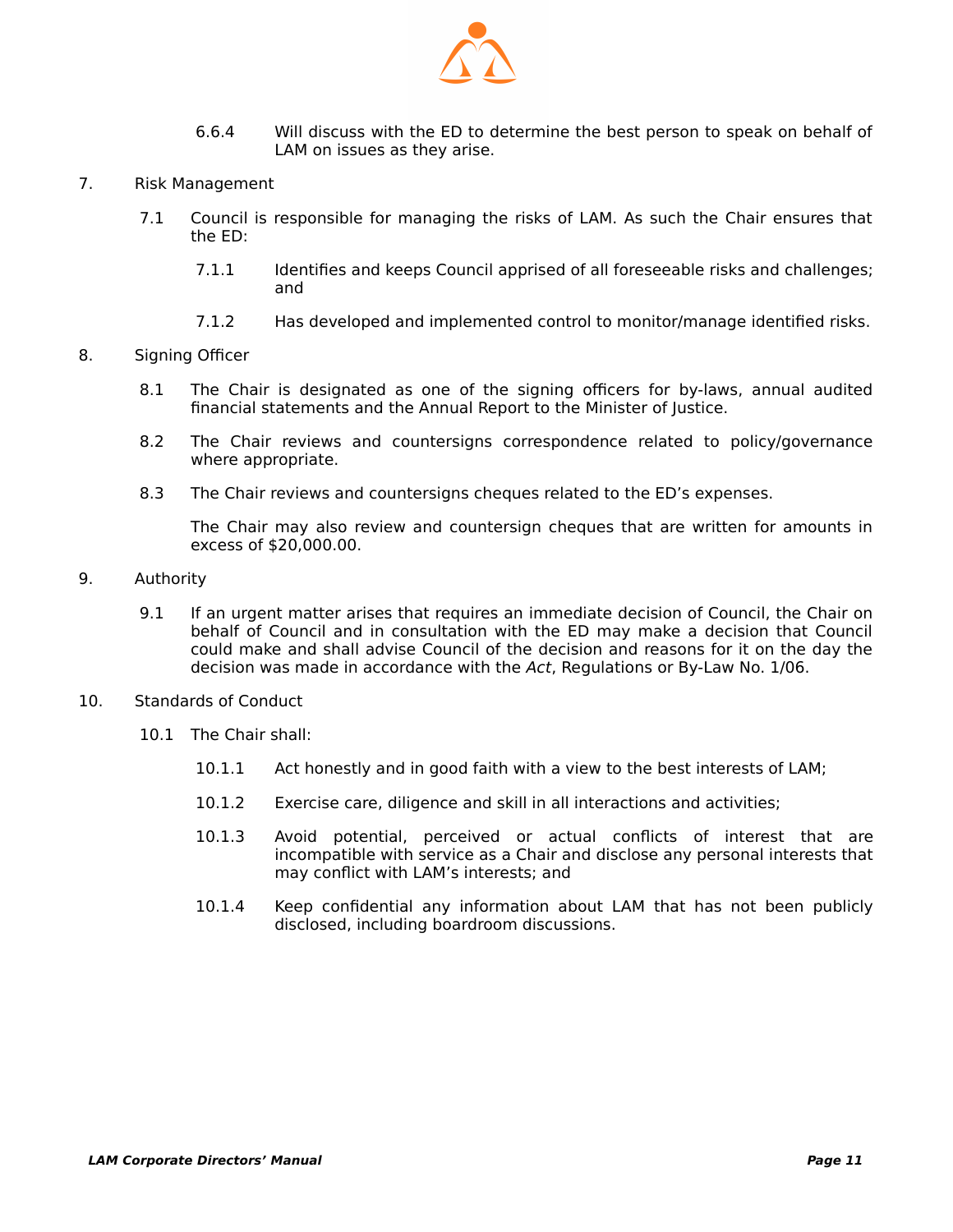

- 6.6.4 Will discuss with the ED to determine the best person to speak on behalf of LAM on issues as they arise.
- 7. Risk Management
	- 7.1 Council is responsible for managing the risks of LAM. As such the Chair ensures that the ED:
		- 7.1.1 Identifies and keeps Council apprised of all foreseeable risks and challenges; and
		- 7.1.2 Has developed and implemented control to monitor/manage identified risks.
- 8. Signing Officer
	- 8.1 The Chair is designated as one of the signing officers for by-laws, annual audited financial statements and the Annual Report to the Minister of Justice.
	- 8.2 The Chair reviews and countersigns correspondence related to policy/governance where appropriate.
	- 8.3 The Chair reviews and countersigns cheques related to the ED's expenses.

The Chair may also review and countersign cheques that are written for amounts in excess of \$20,000.00.

- 9. Authority
	- 9.1 If an urgent matter arises that requires an immediate decision of Council, the Chair on behalf of Council and in consultation with the ED may make a decision that Council could make and shall advise Council of the decision and reasons for it on the day the decision was made in accordance with the Act, Regulations or By-Law No. 1/06.
- 10. Standards of Conduct
	- 10.1 The Chair shall:
		- 10.1.1 Act honestly and in good faith with a view to the best interests of LAM;
		- 10.1.2 Exercise care, diligence and skill in all interactions and activities;
		- 10.1.3 Avoid potential, perceived or actual conflicts of interest that are incompatible with service as a Chair and disclose any personal interests that may conflict with LAM's interests; and
		- 10.1.4 Keep confidential any information about LAM that has not been publicly disclosed, including boardroom discussions.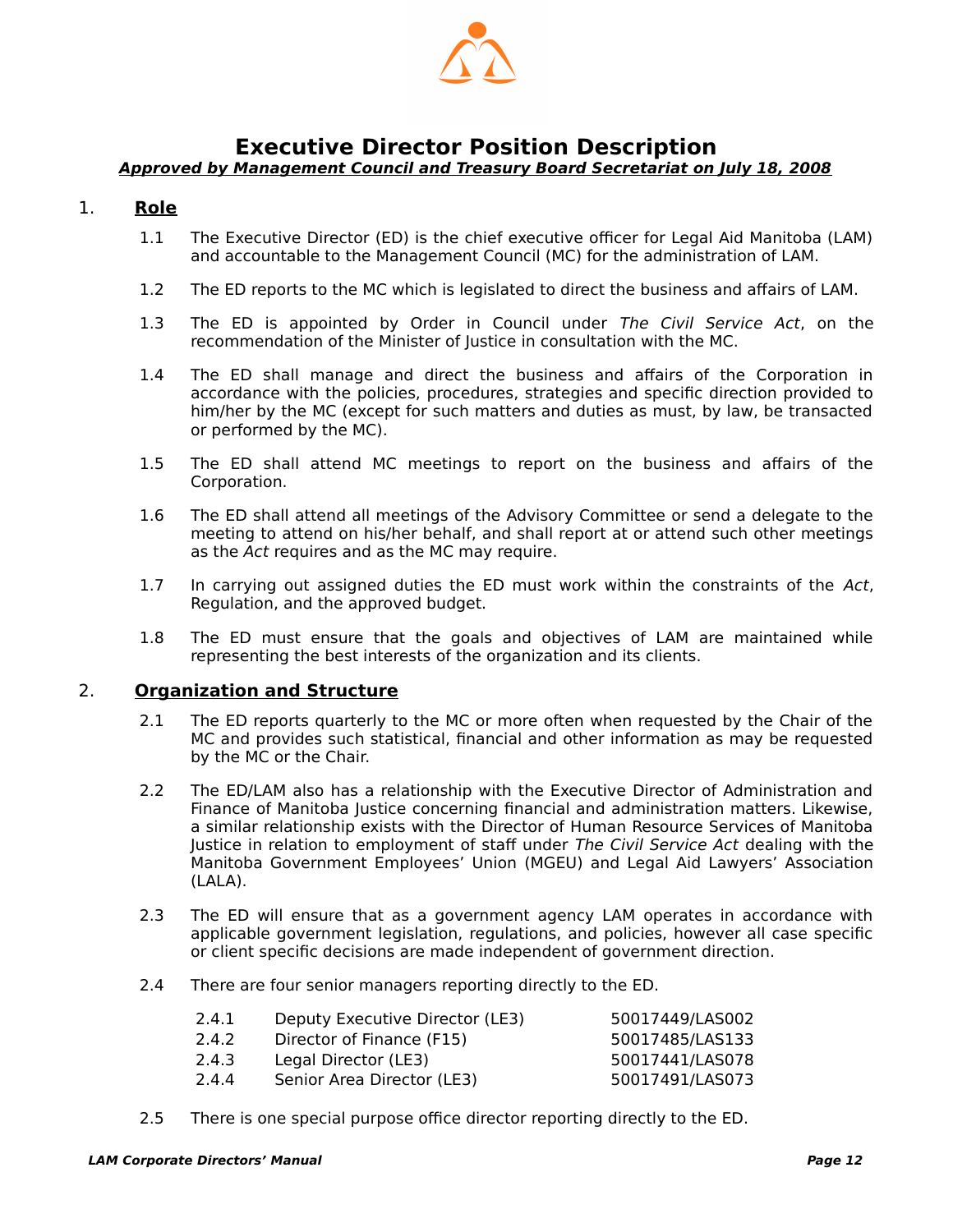

### <span id="page-13-1"></span>**Executive Director Position Description**

#### <span id="page-13-0"></span>**Approved by Management Council and Treasury Board Secretariat on July 18, 2008**

#### 1. **Role**

- 1.1 The Executive Director (ED) is the chief executive officer for Legal Aid Manitoba (LAM) and accountable to the Management Council (MC) for the administration of LAM.
- 1.2 The ED reports to the MC which is legislated to direct the business and affairs of LAM.
- 1.3 The ED is appointed by Order in Council under The Civil Service Act, on the recommendation of the Minister of Justice in consultation with the MC.
- 1.4 The ED shall manage and direct the business and affairs of the Corporation in accordance with the policies, procedures, strategies and specific direction provided to him/her by the MC (except for such matters and duties as must, by law, be transacted or performed by the MC).
- 1.5 The ED shall attend MC meetings to report on the business and affairs of the Corporation.
- 1.6 The ED shall attend all meetings of the Advisory Committee or send a delegate to the meeting to attend on his/her behalf, and shall report at or attend such other meetings as the Act requires and as the MC may require.
- 1.7 In carrying out assigned duties the ED must work within the constraints of the Act, Regulation, and the approved budget.
- 1.8 The ED must ensure that the goals and objectives of LAM are maintained while representing the best interests of the organization and its clients.

#### 2. **Organization and Structure**

- 2.1 The ED reports quarterly to the MC or more often when requested by the Chair of the MC and provides such statistical, financial and other information as may be requested by the MC or the Chair.
- 2.2 The ED/LAM also has a relationship with the Executive Director of Administration and Finance of Manitoba Justice concerning financial and administration matters. Likewise, a similar relationship exists with the Director of Human Resource Services of Manitoba Justice in relation to employment of staff under The Civil Service Act dealing with the Manitoba Government Employees' Union (MGEU) and Legal Aid Lawyers' Association (LALA).
- 2.3 The ED will ensure that as a government agency LAM operates in accordance with applicable government legislation, regulations, and policies, however all case specific or client specific decisions are made independent of government direction.
- 2.4 There are four senior managers reporting directly to the ED.

| 2.4.1 | Deputy Executive Director (LE3) | 50017449/LAS002 |
|-------|---------------------------------|-----------------|
| 2.4.2 | Director of Finance (F15)       | 50017485/LAS133 |
| 2.4.3 | Legal Director (LE3)            | 50017441/LAS078 |
| 2.4.4 | Senior Area Director (LE3)      | 50017491/LAS073 |
|       |                                 |                 |

2.5 There is one special purpose office director reporting directly to the ED.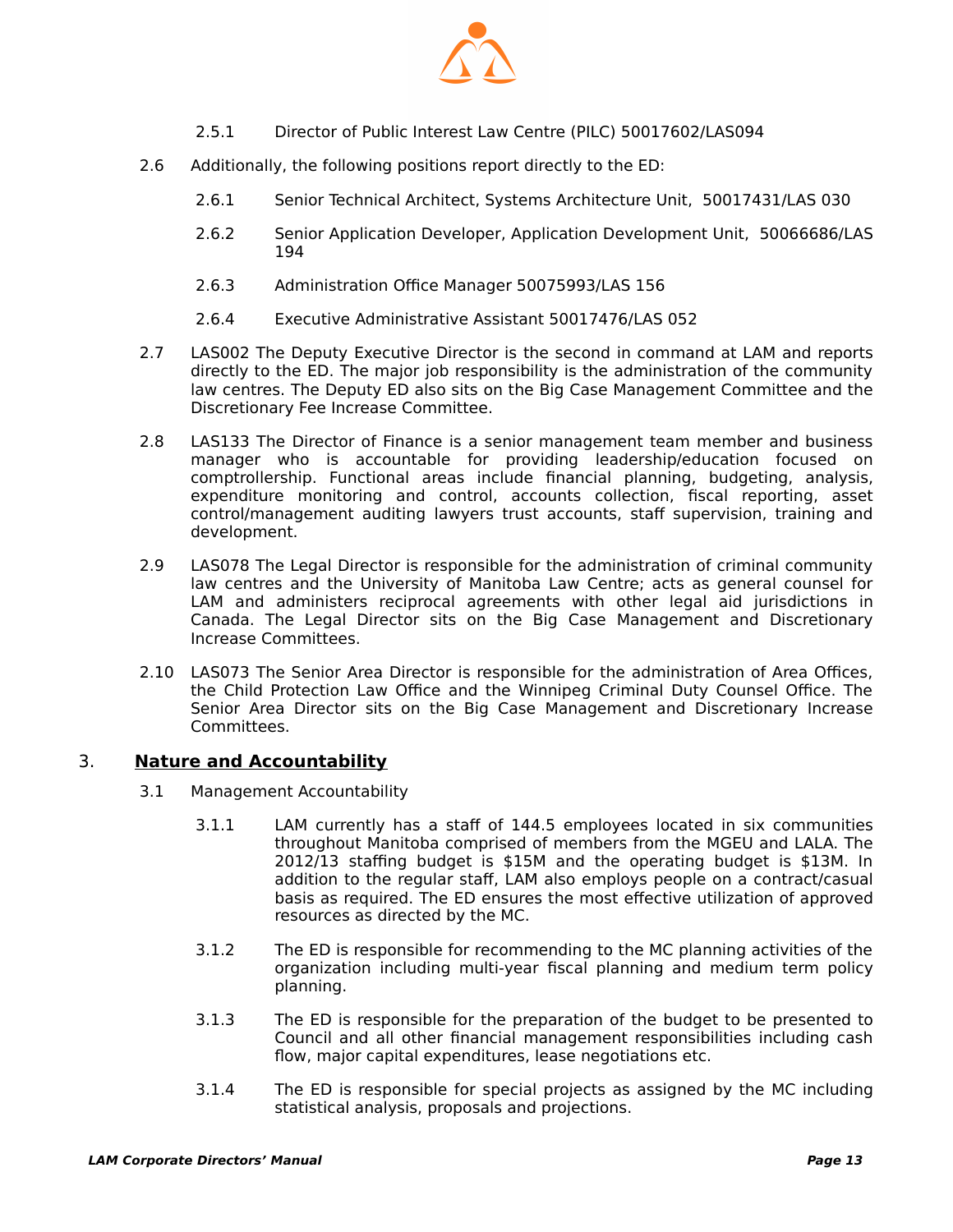

- 2.5.1 Director of Public Interest Law Centre (PILC) 50017602/LAS094
- 2.6 Additionally, the following positions report directly to the ED:
	- 2.6.1 Senior Technical Architect, Systems Architecture Unit, 50017431/LAS 030
	- 2.6.2 Senior Application Developer, Application Development Unit, 50066686/LAS 194
	- 2.6.3 Administration Office Manager 50075993/LAS 156
	- 2.6.4 Executive Administrative Assistant 50017476/LAS 052
- 2.7 LAS002 The Deputy Executive Director is the second in command at LAM and reports directly to the ED. The major job responsibility is the administration of the community law centres. The Deputy ED also sits on the Big Case Management Committee and the Discretionary Fee Increase Committee.
- 2.8 LAS133 The Director of Finance is a senior management team member and business manager who is accountable for providing leadership/education focused on comptrollership. Functional areas include financial planning, budgeting, analysis, expenditure monitoring and control, accounts collection, fiscal reporting, asset control/management auditing lawyers trust accounts, staff supervision, training and development.
- 2.9 LAS078 The Legal Director is responsible for the administration of criminal community law centres and the University of Manitoba Law Centre; acts as general counsel for LAM and administers reciprocal agreements with other legal aid jurisdictions in Canada. The Legal Director sits on the Big Case Management and Discretionary Increase Committees.
- 2.10 LAS073 The Senior Area Director is responsible for the administration of Area Offices, the Child Protection Law Office and the Winnipeg Criminal Duty Counsel Office. The Senior Area Director sits on the Big Case Management and Discretionary Increase Committees.

#### 3. **Nature and Accountability**

- 3.1 Management Accountability
	- 3.1.1 LAM currently has a staff of 144.5 employees located in six communities throughout Manitoba comprised of members from the MGEU and LALA. The 2012/13 staffing budget is \$15M and the operating budget is \$13M. In addition to the regular staff, LAM also employs people on a contract/casual basis as required. The ED ensures the most effective utilization of approved resources as directed by the MC.
	- 3.1.2 The ED is responsible for recommending to the MC planning activities of the organization including multi-year fiscal planning and medium term policy planning.
	- 3.1.3 The ED is responsible for the preparation of the budget to be presented to Council and all other financial management responsibilities including cash flow, major capital expenditures, lease negotiations etc.
	- 3.1.4 The ED is responsible for special projects as assigned by the MC including statistical analysis, proposals and projections.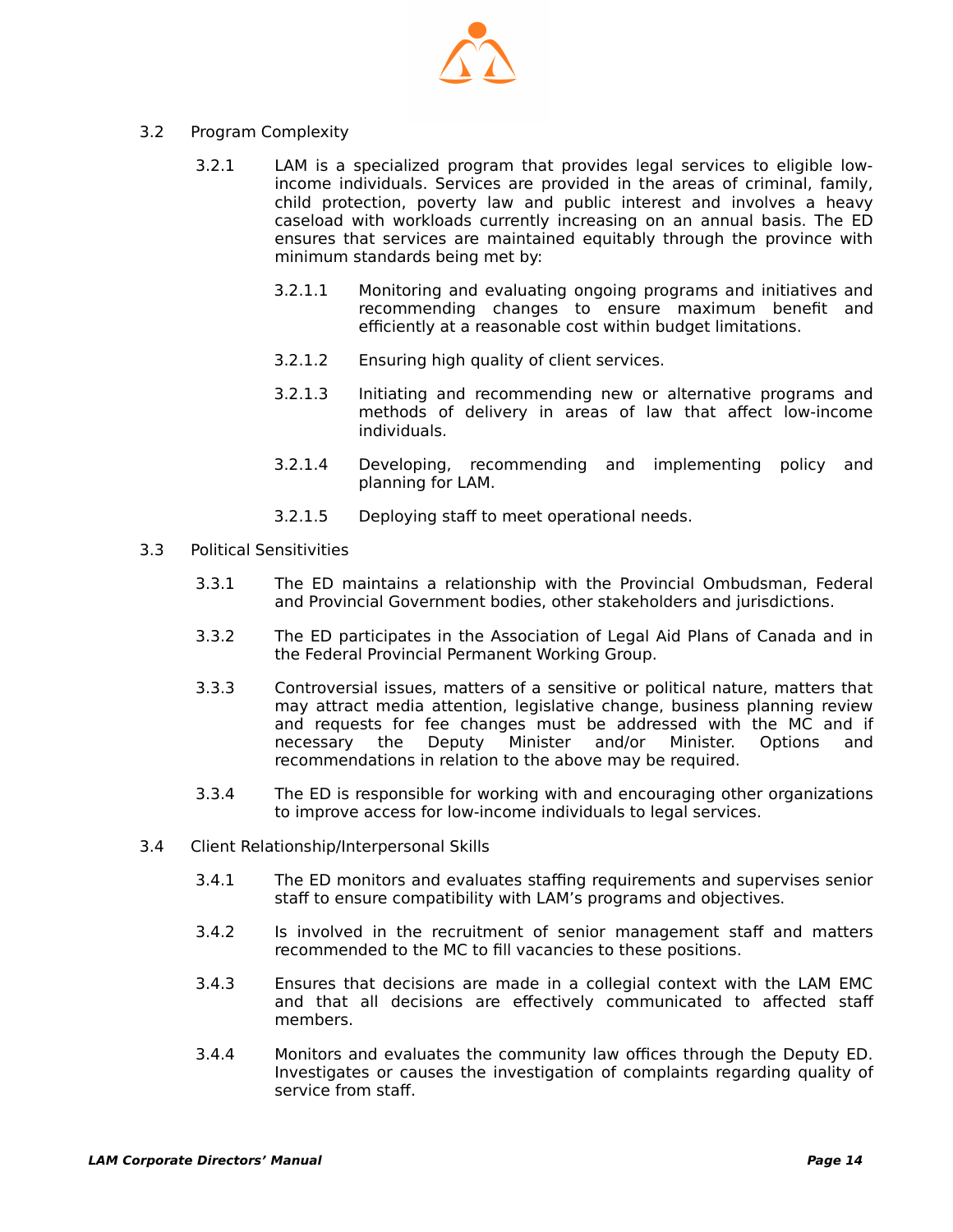

- 3.2 Program Complexity
	- 3.2.1 LAM is a specialized program that provides legal services to eligible lowincome individuals. Services are provided in the areas of criminal, family, child protection, poverty law and public interest and involves a heavy caseload with workloads currently increasing on an annual basis. The ED ensures that services are maintained equitably through the province with minimum standards being met by:
		- 3.2.1.1 Monitoring and evaluating ongoing programs and initiatives and recommending changes to ensure maximum benefit and efficiently at a reasonable cost within budget limitations.
		- 3.2.1.2 Ensuring high quality of client services.
		- 3.2.1.3 Initiating and recommending new or alternative programs and methods of delivery in areas of law that affect low-income individuals.
		- 3.2.1.4 Developing, recommending and implementing policy and planning for LAM.
		- 3.2.1.5 Deploying staff to meet operational needs.
- 3.3 Political Sensitivities
	- 3.3.1 The ED maintains a relationship with the Provincial Ombudsman, Federal and Provincial Government bodies, other stakeholders and jurisdictions.
	- 3.3.2 The ED participates in the Association of Legal Aid Plans of Canada and in the Federal Provincial Permanent Working Group.
	- 3.3.3 Controversial issues, matters of a sensitive or political nature, matters that may attract media attention, legislative change, business planning review and requests for fee changes must be addressed with the MC and if necessary the Deputy Minister and/or Minister. Options and recommendations in relation to the above may be required.
	- 3.3.4 The ED is responsible for working with and encouraging other organizations to improve access for low-income individuals to legal services.
- 3.4 Client Relationship/Interpersonal Skills
	- 3.4.1 The ED monitors and evaluates staffing requirements and supervises senior staff to ensure compatibility with LAM's programs and objectives.
	- 3.4.2 Is involved in the recruitment of senior management staff and matters recommended to the MC to fill vacancies to these positions.
	- 3.4.3 Ensures that decisions are made in a collegial context with the LAM EMC and that all decisions are effectively communicated to affected staff members.
	- 3.4.4 Monitors and evaluates the community law offices through the Deputy ED. Investigates or causes the investigation of complaints regarding quality of service from staff.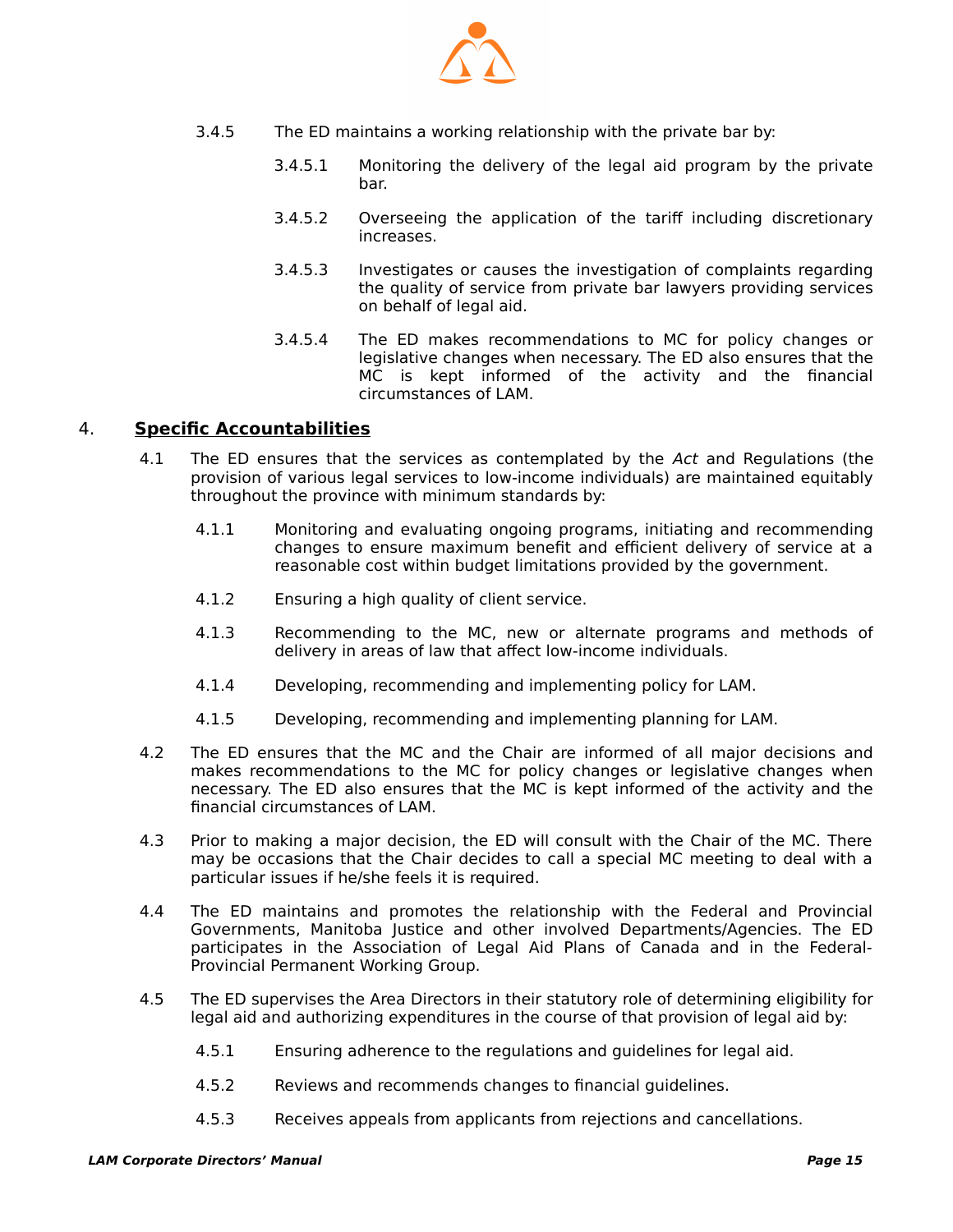

- 3.4.5 The ED maintains a working relationship with the private bar by:
	- 3.4.5.1 Monitoring the delivery of the legal aid program by the private bar.
	- 3.4.5.2 Overseeing the application of the tariff including discretionary increases.
	- 3.4.5.3 Investigates or causes the investigation of complaints regarding the quality of service from private bar lawyers providing services on behalf of legal aid.
	- 3.4.5.4 The ED makes recommendations to MC for policy changes or legislative changes when necessary. The ED also ensures that the MC is kept informed of the activity and the financial circumstances of LAM.

#### 4. **Specific Accountabilities**

- 4.1 The ED ensures that the services as contemplated by the Act and Regulations (the provision of various legal services to low-income individuals) are maintained equitably throughout the province with minimum standards by:
	- 4.1.1 Monitoring and evaluating ongoing programs, initiating and recommending changes to ensure maximum benefit and efficient delivery of service at a reasonable cost within budget limitations provided by the government.
	- 4.1.2 Ensuring a high quality of client service.
	- 4.1.3 Recommending to the MC, new or alternate programs and methods of delivery in areas of law that affect low-income individuals.
	- 4.1.4 Developing, recommending and implementing policy for LAM.
	- 4.1.5 Developing, recommending and implementing planning for LAM.
- 4.2 The ED ensures that the MC and the Chair are informed of all major decisions and makes recommendations to the MC for policy changes or legislative changes when necessary. The ED also ensures that the MC is kept informed of the activity and the financial circumstances of LAM.
- 4.3 Prior to making a major decision, the ED will consult with the Chair of the MC. There may be occasions that the Chair decides to call a special MC meeting to deal with a particular issues if he/she feels it is required.
- 4.4 The ED maintains and promotes the relationship with the Federal and Provincial Governments, Manitoba Justice and other involved Departments/Agencies. The ED participates in the Association of Legal Aid Plans of Canada and in the Federal-Provincial Permanent Working Group.
- 4.5 The ED supervises the Area Directors in their statutory role of determining eligibility for legal aid and authorizing expenditures in the course of that provision of legal aid by:
	- 4.5.1 Ensuring adherence to the regulations and guidelines for legal aid.
	- 4.5.2 Reviews and recommends changes to financial guidelines.
	- 4.5.3 Receives appeals from applicants from rejections and cancellations.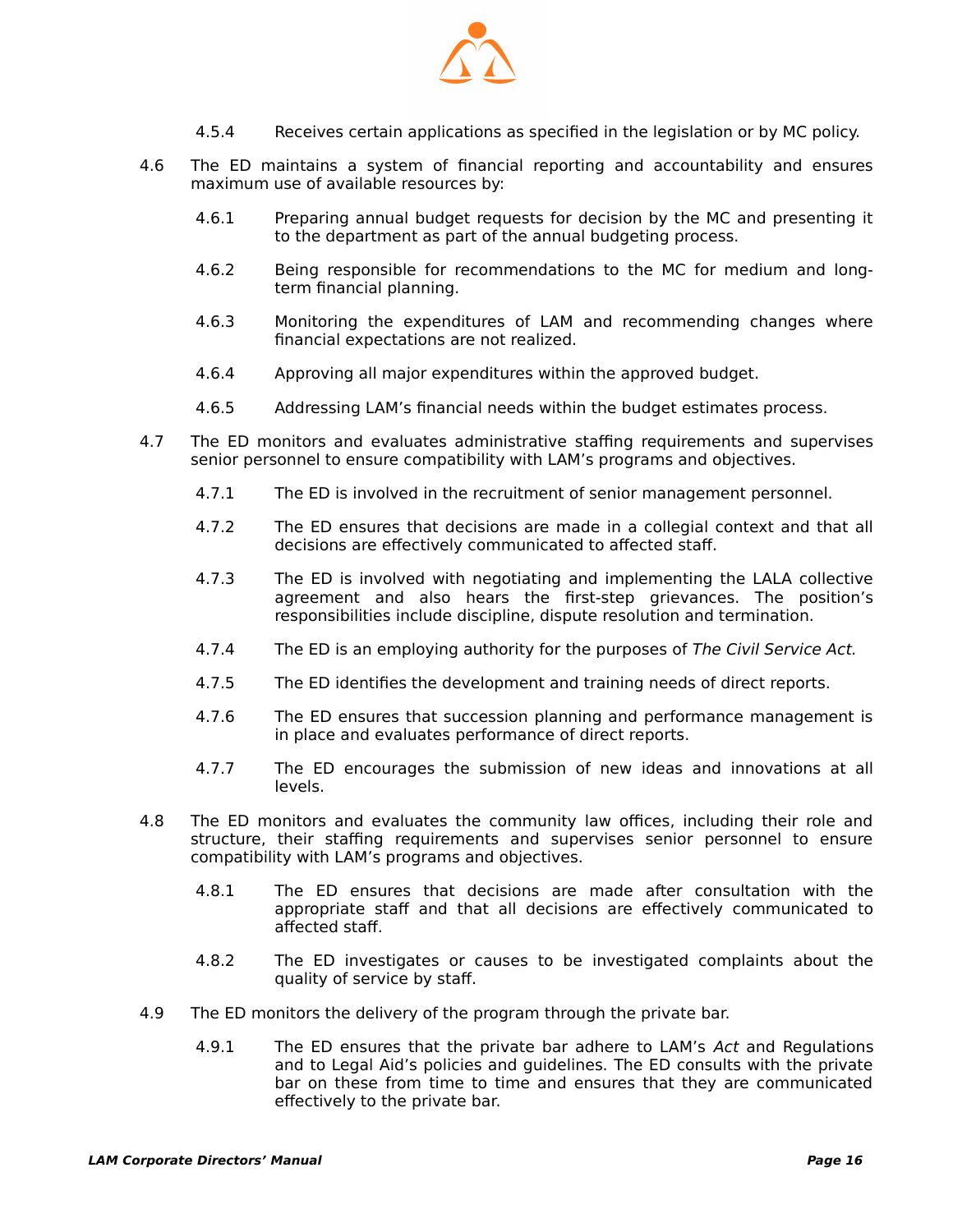

- 4.5.4 Receives certain applications as specified in the legislation or by MC policy.
- 4.6 The ED maintains a system of financial reporting and accountability and ensures maximum use of available resources by:
	- 4.6.1 Preparing annual budget requests for decision by the MC and presenting it to the department as part of the annual budgeting process.
	- 4.6.2 Being responsible for recommendations to the MC for medium and longterm financial planning.
	- 4.6.3 Monitoring the expenditures of LAM and recommending changes where financial expectations are not realized.
	- 4.6.4 Approving all major expenditures within the approved budget.
	- 4.6.5 Addressing LAM's financial needs within the budget estimates process.
- 4.7 The ED monitors and evaluates administrative staffing requirements and supervises senior personnel to ensure compatibility with LAM's programs and objectives.
	- 4.7.1 The ED is involved in the recruitment of senior management personnel.
	- 4.7.2 The ED ensures that decisions are made in a collegial context and that all decisions are effectively communicated to affected staff.
	- 4.7.3 The ED is involved with negotiating and implementing the LALA collective agreement and also hears the first-step grievances. The position's responsibilities include discipline, dispute resolution and termination.
	- 4.7.4 The ED is an employing authority for the purposes of The Civil Service Act.
	- 4.7.5 The ED identifies the development and training needs of direct reports.
	- 4.7.6 The ED ensures that succession planning and performance management is in place and evaluates performance of direct reports.
	- 4.7.7 The ED encourages the submission of new ideas and innovations at all levels.
- 4.8 The ED monitors and evaluates the community law offices, including their role and structure, their staffing requirements and supervises senior personnel to ensure compatibility with LAM's programs and objectives.
	- 4.8.1 The ED ensures that decisions are made after consultation with the appropriate staff and that all decisions are effectively communicated to affected staff.
	- 4.8.2 The ED investigates or causes to be investigated complaints about the quality of service by staff.
- 4.9 The ED monitors the delivery of the program through the private bar.
	- 4.9.1 The ED ensures that the private bar adhere to LAM's Act and Regulations and to Legal Aid's policies and guidelines. The ED consults with the private bar on these from time to time and ensures that they are communicated effectively to the private bar.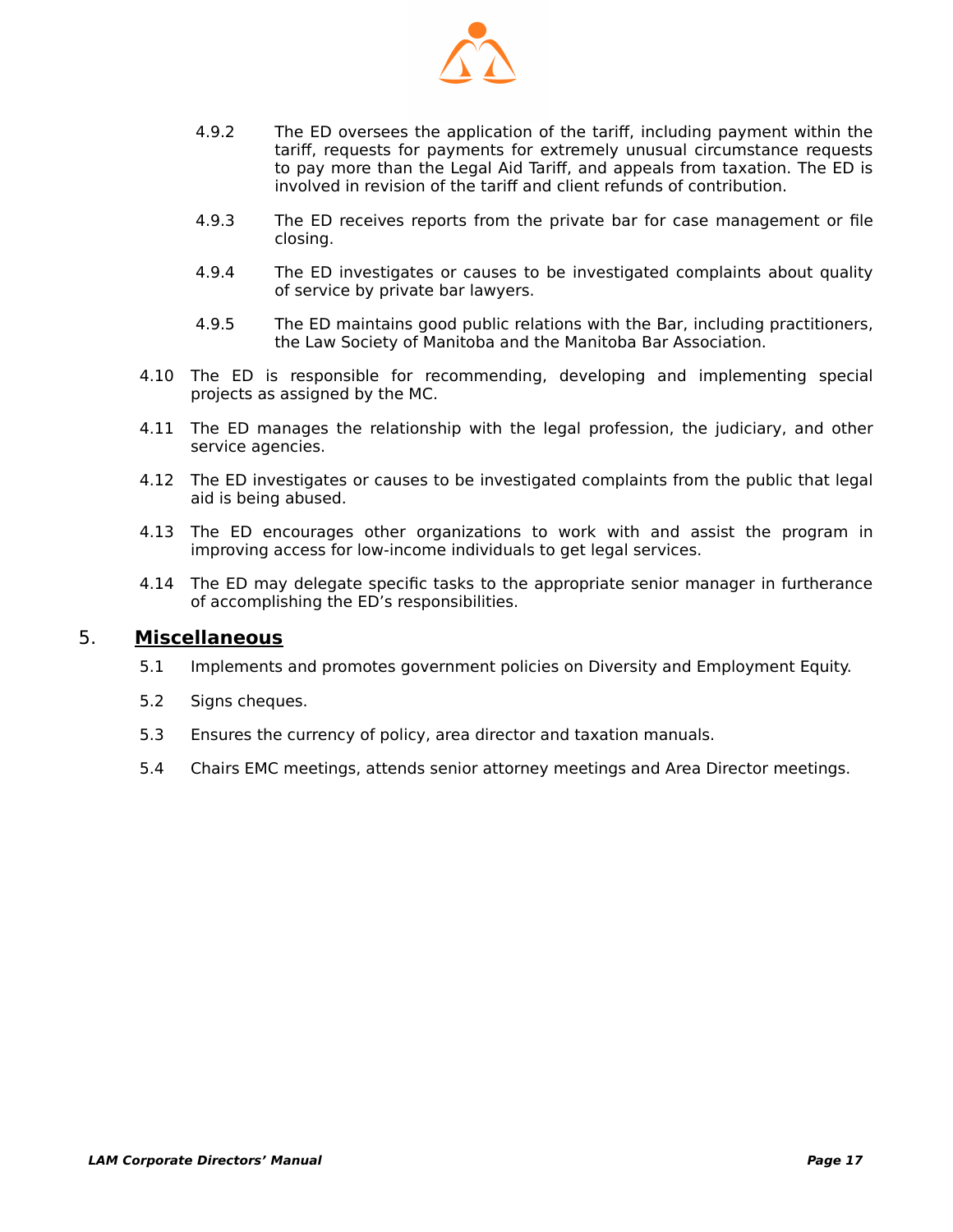

- 4.9.2 The ED oversees the application of the tariff, including payment within the tariff, requests for payments for extremely unusual circumstance requests to pay more than the Legal Aid Tariff, and appeals from taxation. The ED is involved in revision of the tariff and client refunds of contribution.
- 4.9.3 The ED receives reports from the private bar for case management or file closing.
- 4.9.4 The ED investigates or causes to be investigated complaints about quality of service by private bar lawyers.
- 4.9.5 The ED maintains good public relations with the Bar, including practitioners, the Law Society of Manitoba and the Manitoba Bar Association.
- 4.10 The ED is responsible for recommending, developing and implementing special projects as assigned by the MC.
- 4.11 The ED manages the relationship with the legal profession, the judiciary, and other service agencies.
- 4.12 The ED investigates or causes to be investigated complaints from the public that legal aid is being abused.
- 4.13 The ED encourages other organizations to work with and assist the program in improving access for low-income individuals to get legal services.
- 4.14 The ED may delegate specific tasks to the appropriate senior manager in furtherance of accomplishing the ED's responsibilities.

#### 5. **Miscellaneous**

- 5.1 Implements and promotes government policies on Diversity and Employment Equity.
- 5.2 Signs cheques.
- 5.3 Ensures the currency of policy, area director and taxation manuals.
- 5.4 Chairs EMC meetings, attends senior attorney meetings and Area Director meetings.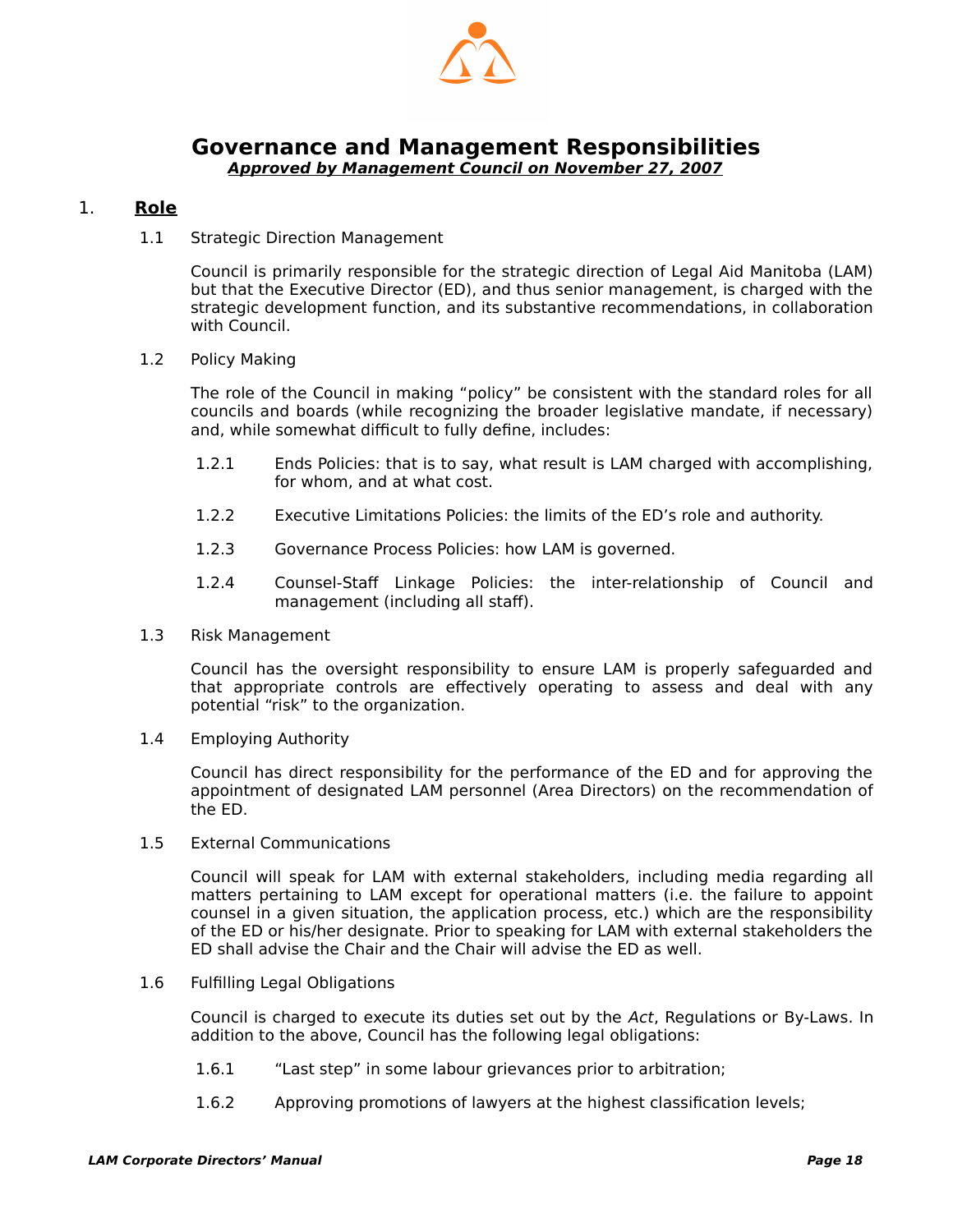

#### <span id="page-19-1"></span><span id="page-19-0"></span>**Governance and Management Responsibilities Approved by Management Council on November 27, 2007**

#### 1. **Role**

1.1 Strategic Direction Management

Council is primarily responsible for the strategic direction of Legal Aid Manitoba (LAM) but that the Executive Director (ED), and thus senior management, is charged with the strategic development function, and its substantive recommendations, in collaboration with Council.

1.2 Policy Making

The role of the Council in making "policy" be consistent with the standard roles for all councils and boards (while recognizing the broader legislative mandate, if necessary) and, while somewhat difficult to fully define, includes:

- 1.2.1 Ends Policies: that is to say, what result is LAM charged with accomplishing, for whom, and at what cost.
- 1.2.2 Executive Limitations Policies: the limits of the ED's role and authority.
- 1.2.3 Governance Process Policies: how LAM is governed.
- 1.2.4 Counsel-Staff Linkage Policies: the inter-relationship of Council and management (including all staff).
- 1.3 Risk Management

Council has the oversight responsibility to ensure LAM is properly safeguarded and that appropriate controls are effectively operating to assess and deal with any potential "risk" to the organization.

1.4 Employing Authority

Council has direct responsibility for the performance of the ED and for approving the appointment of designated LAM personnel (Area Directors) on the recommendation of the ED.

1.5 External Communications

Council will speak for LAM with external stakeholders, including media regarding all matters pertaining to LAM except for operational matters (i.e. the failure to appoint counsel in a given situation, the application process, etc.) which are the responsibility of the ED or his/her designate. Prior to speaking for LAM with external stakeholders the ED shall advise the Chair and the Chair will advise the ED as well.

1.6 Fulfilling Legal Obligations

Council is charged to execute its duties set out by the Act, Regulations or By-Laws. In addition to the above, Council has the following legal obligations:

- 1.6.1 "Last step" in some labour grievances prior to arbitration;
- 1.6.2 Approving promotions of lawyers at the highest classification levels;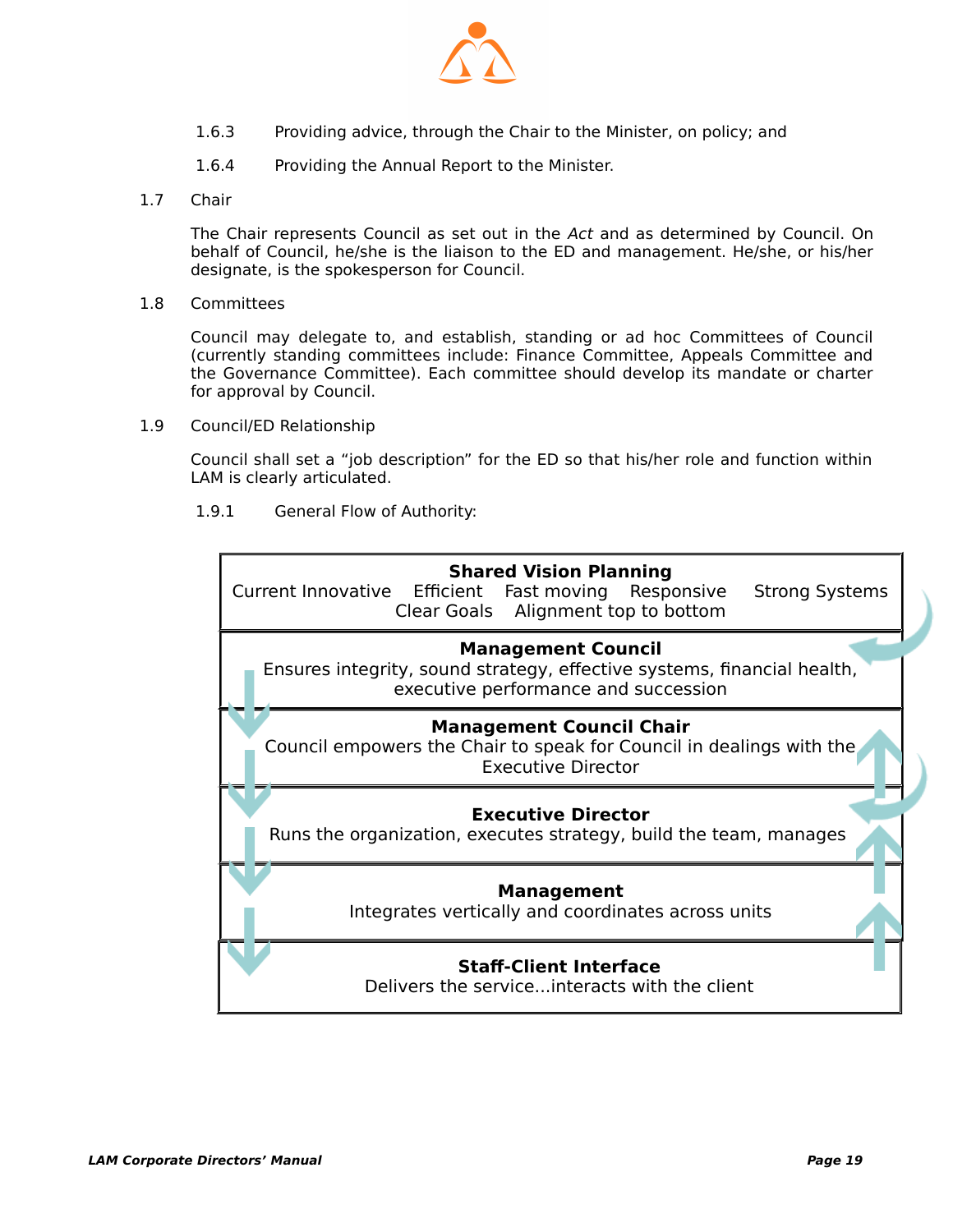

- 1.6.3 Providing advice, through the Chair to the Minister, on policy; and
- 1.6.4 Providing the Annual Report to the Minister.
- 1.7 Chair

The Chair represents Council as set out in the Act and as determined by Council. On behalf of Council, he/she is the liaison to the ED and management. He/she, or his/her designate, is the spokesperson for Council.

1.8 Committees

Council may delegate to, and establish, standing or ad hoc Committees of Council (currently standing committees include: Finance Committee, Appeals Committee and the Governance Committee). Each committee should develop its mandate or charter for approval by Council.

1.9 Council/ED Relationship

Council shall set a "job description" for the ED so that his/her role and function within LAM is clearly articulated.

1.9.1 General Flow of Authority:

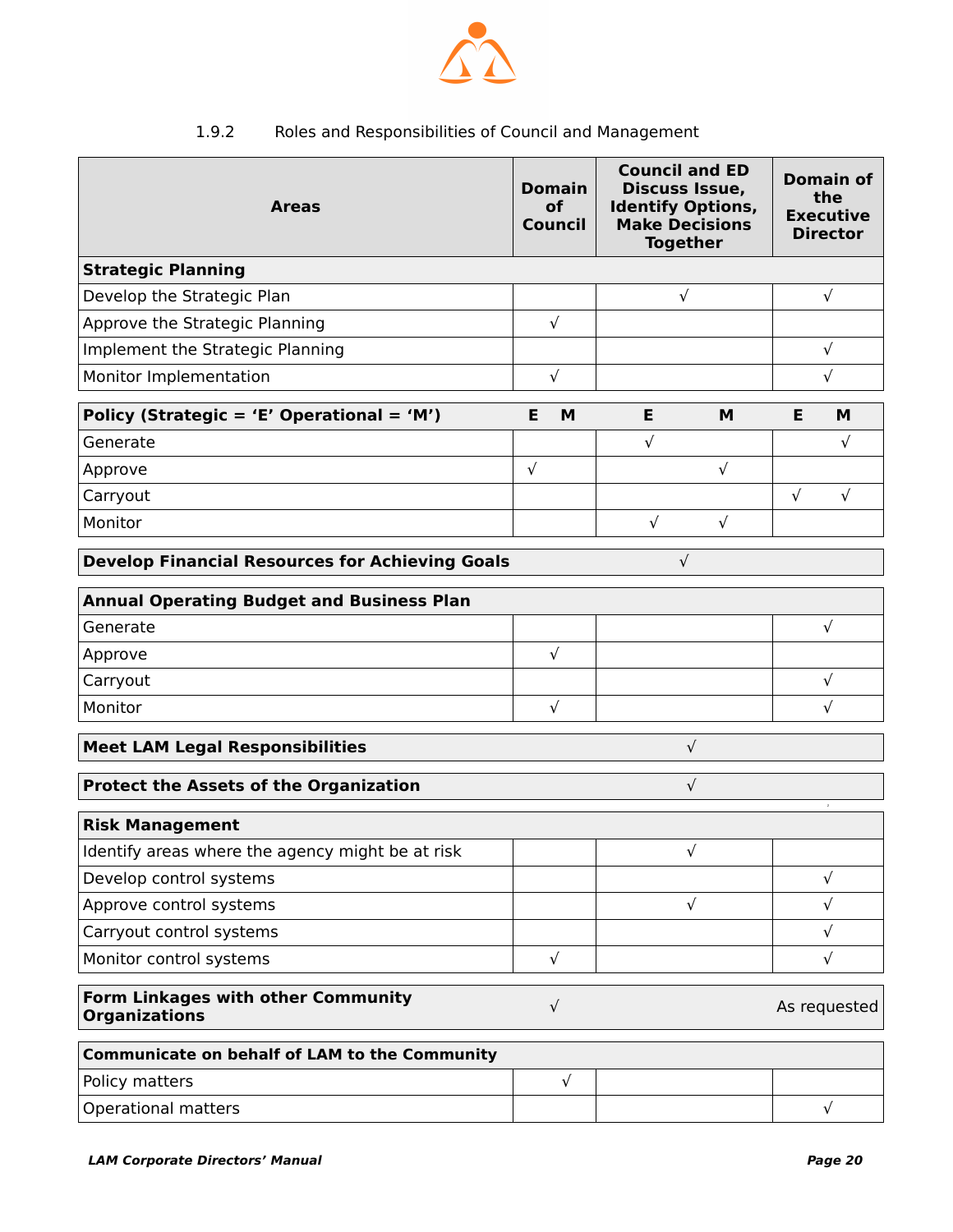

### 1.9.2 Roles and Responsibilities of Council and Management

| <b>Areas</b>                                                         | <b>Domain</b><br>of<br>Council | <b>Council and ED</b><br>Discuss Issue,<br><b>Identify Options,</b><br><b>Make Decisions</b><br><b>Together</b> |            | <b>Domain of</b><br>the<br><b>Executive</b><br><b>Director</b> |              |  |  |  |
|----------------------------------------------------------------------|--------------------------------|-----------------------------------------------------------------------------------------------------------------|------------|----------------------------------------------------------------|--------------|--|--|--|
| <b>Strategic Planning</b>                                            |                                |                                                                                                                 |            |                                                                |              |  |  |  |
| Develop the Strategic Plan                                           |                                | $\sqrt{ }$                                                                                                      |            | $\sqrt{ }$                                                     |              |  |  |  |
| Approve the Strategic Planning                                       | $\sqrt{ }$                     |                                                                                                                 |            |                                                                |              |  |  |  |
| Implement the Strategic Planning                                     |                                |                                                                                                                 |            |                                                                | $\sqrt{ }$   |  |  |  |
| Monitor Implementation                                               | $\sqrt{ }$                     |                                                                                                                 |            |                                                                | $\sqrt{ }$   |  |  |  |
| Policy (Strategic = 'E' Operational = 'M')                           | Е<br>M                         | Е                                                                                                               | M          | Е                                                              | M            |  |  |  |
| Generate                                                             |                                | $\sqrt{ }$                                                                                                      |            |                                                                | $\sqrt{}$    |  |  |  |
| Approve                                                              | $\sqrt{ }$                     |                                                                                                                 | $\sqrt{ }$ |                                                                |              |  |  |  |
| Carryout                                                             |                                |                                                                                                                 |            | $\sqrt{ }$                                                     | $\sqrt{ }$   |  |  |  |
| Monitor                                                              |                                | $\sqrt{ }$                                                                                                      | $\sqrt{ }$ |                                                                |              |  |  |  |
| $\sqrt{ }$<br><b>Develop Financial Resources for Achieving Goals</b> |                                |                                                                                                                 |            |                                                                |              |  |  |  |
| <b>Annual Operating Budget and Business Plan</b>                     |                                |                                                                                                                 |            |                                                                |              |  |  |  |
| Generate                                                             |                                |                                                                                                                 |            |                                                                | $\sqrt{ }$   |  |  |  |
| Approve                                                              | $\sqrt{ }$                     |                                                                                                                 |            |                                                                |              |  |  |  |
| Carryout                                                             |                                |                                                                                                                 |            |                                                                | $\sqrt{ }$   |  |  |  |
| Monitor                                                              | $\sqrt{ }$                     |                                                                                                                 |            |                                                                | $\sqrt{ }$   |  |  |  |
| $\sqrt{ }$<br><b>Meet LAM Legal Responsibilities</b>                 |                                |                                                                                                                 |            |                                                                |              |  |  |  |
| <b>Protect the Assets of the Organization</b><br>$\sqrt{ }$          |                                |                                                                                                                 |            |                                                                |              |  |  |  |
| $\,$<br><b>Risk Management</b>                                       |                                |                                                                                                                 |            |                                                                |              |  |  |  |
| Identify areas where the agency might be at risk                     |                                |                                                                                                                 | $\sqrt{}$  |                                                                |              |  |  |  |
| Develop control systems                                              |                                |                                                                                                                 |            |                                                                | $\sqrt{ }$   |  |  |  |
| Approve control systems                                              |                                |                                                                                                                 | $\sqrt{}$  |                                                                | $\sqrt{ }$   |  |  |  |
| Carryout control systems                                             |                                |                                                                                                                 |            |                                                                | $\sqrt{ }$   |  |  |  |
| Monitor control systems                                              | $\sqrt{ }$                     |                                                                                                                 |            |                                                                | $\sqrt{ }$   |  |  |  |
| Form Linkages with other Community<br><b>Organizations</b>           | $\sqrt{ }$                     |                                                                                                                 |            |                                                                | As requested |  |  |  |
| <b>Communicate on behalf of LAM to the Community</b>                 |                                |                                                                                                                 |            |                                                                |              |  |  |  |
| Policy matters                                                       | $\sqrt{ }$                     |                                                                                                                 |            |                                                                |              |  |  |  |
| <b>Operational matters</b>                                           |                                |                                                                                                                 |            |                                                                | $\sqrt{ }$   |  |  |  |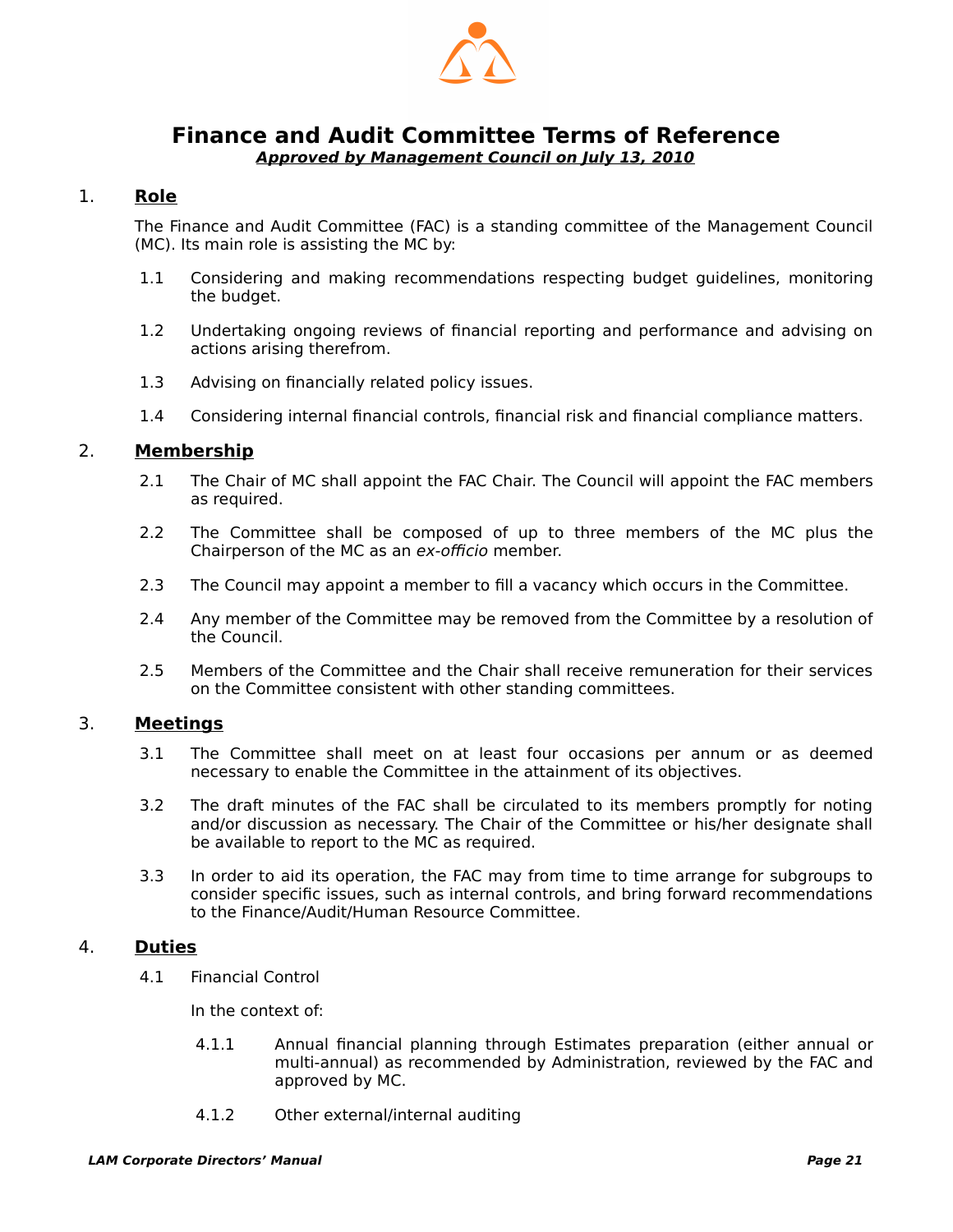

#### <span id="page-22-1"></span><span id="page-22-0"></span>**Finance and Audit Committee Terms of Reference Approved by Management Council on July 13, 2010**

#### 1. **Role**

The Finance and Audit Committee (FAC) is a standing committee of the Management Council (MC). Its main role is assisting the MC by:

- 1.1 Considering and making recommendations respecting budget guidelines, monitoring the budget.
- 1.2 Undertaking ongoing reviews of financial reporting and performance and advising on actions arising therefrom.
- 1.3 Advising on financially related policy issues.
- 1.4 Considering internal financial controls, financial risk and financial compliance matters.

#### 2. **Membership**

- 2.1 The Chair of MC shall appoint the FAC Chair. The Council will appoint the FAC members as required.
- 2.2 The Committee shall be composed of up to three members of the MC plus the Chairperson of the MC as an ex-officio member.
- 2.3 The Council may appoint a member to fill a vacancy which occurs in the Committee.
- 2.4 Any member of the Committee may be removed from the Committee by a resolution of the Council.
- 2.5 Members of the Committee and the Chair shall receive remuneration for their services on the Committee consistent with other standing committees.

#### 3. **Meetings**

- 3.1 The Committee shall meet on at least four occasions per annum or as deemed necessary to enable the Committee in the attainment of its objectives.
- 3.2 The draft minutes of the FAC shall be circulated to its members promptly for noting and/or discussion as necessary. The Chair of the Committee or his/her designate shall be available to report to the MC as required.
- 3.3 In order to aid its operation, the FAC may from time to time arrange for subgroups to consider specific issues, such as internal controls, and bring forward recommendations to the Finance/Audit/Human Resource Committee.

#### 4. **Duties**

4.1 Financial Control

In the context of:

- 4.1.1 Annual financial planning through Estimates preparation (either annual or multi-annual) as recommended by Administration, reviewed by the FAC and approved by MC.
- 4.1.2 Other external/internal auditing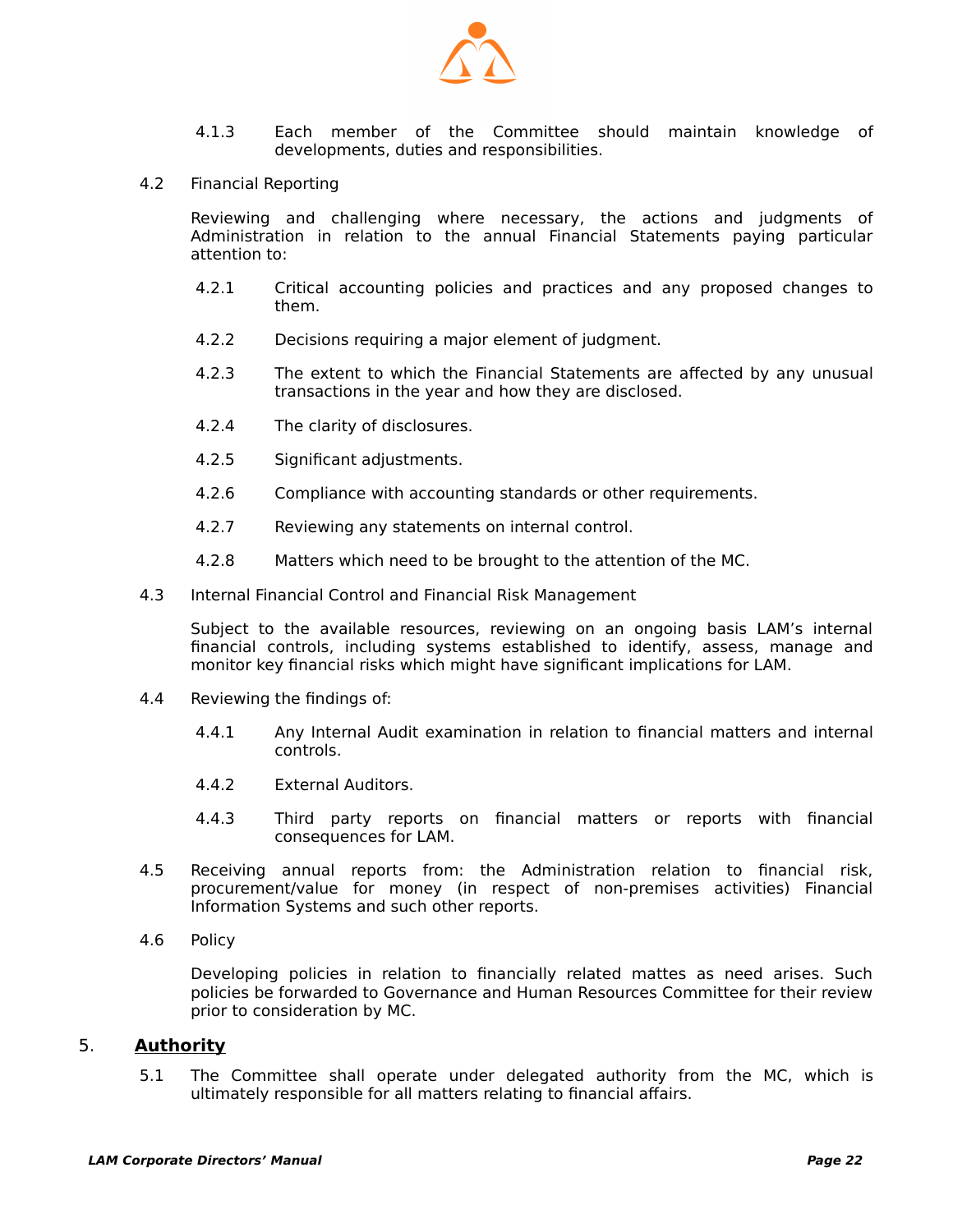

- 4.1.3 Each member of the Committee should maintain knowledge of developments, duties and responsibilities.
- 4.2 Financial Reporting

Reviewing and challenging where necessary, the actions and judgments of Administration in relation to the annual Financial Statements paying particular attention to:

- 4.2.1 Critical accounting policies and practices and any proposed changes to them.
- 4.2.2 Decisions requiring a major element of judgment.
- 4.2.3 The extent to which the Financial Statements are affected by any unusual transactions in the year and how they are disclosed.
- 4.2.4 The clarity of disclosures.
- 4.2.5 Significant adjustments.
- 4.2.6 Compliance with accounting standards or other requirements.
- 4.2.7 Reviewing any statements on internal control.
- 4.2.8 Matters which need to be brought to the attention of the MC.
- 4.3 Internal Financial Control and Financial Risk Management

Subject to the available resources, reviewing on an ongoing basis LAM's internal financial controls, including systems established to identify, assess, manage and monitor key financial risks which might have significant implications for LAM.

- 4.4 Reviewing the findings of:
	- 4.4.1 Any Internal Audit examination in relation to financial matters and internal controls.
	- 4.4.2 External Auditors.
	- 4.4.3 Third party reports on financial matters or reports with financial consequences for LAM.
- 4.5 Receiving annual reports from: the Administration relation to financial risk, procurement/value for money (in respect of non-premises activities) Financial Information Systems and such other reports.
- 4.6 Policy

Developing policies in relation to financially related mattes as need arises. Such policies be forwarded to Governance and Human Resources Committee for their review prior to consideration by MC.

#### 5. **Authority**

 5.1 The Committee shall operate under delegated authority from the MC, which is ultimately responsible for all matters relating to financial affairs.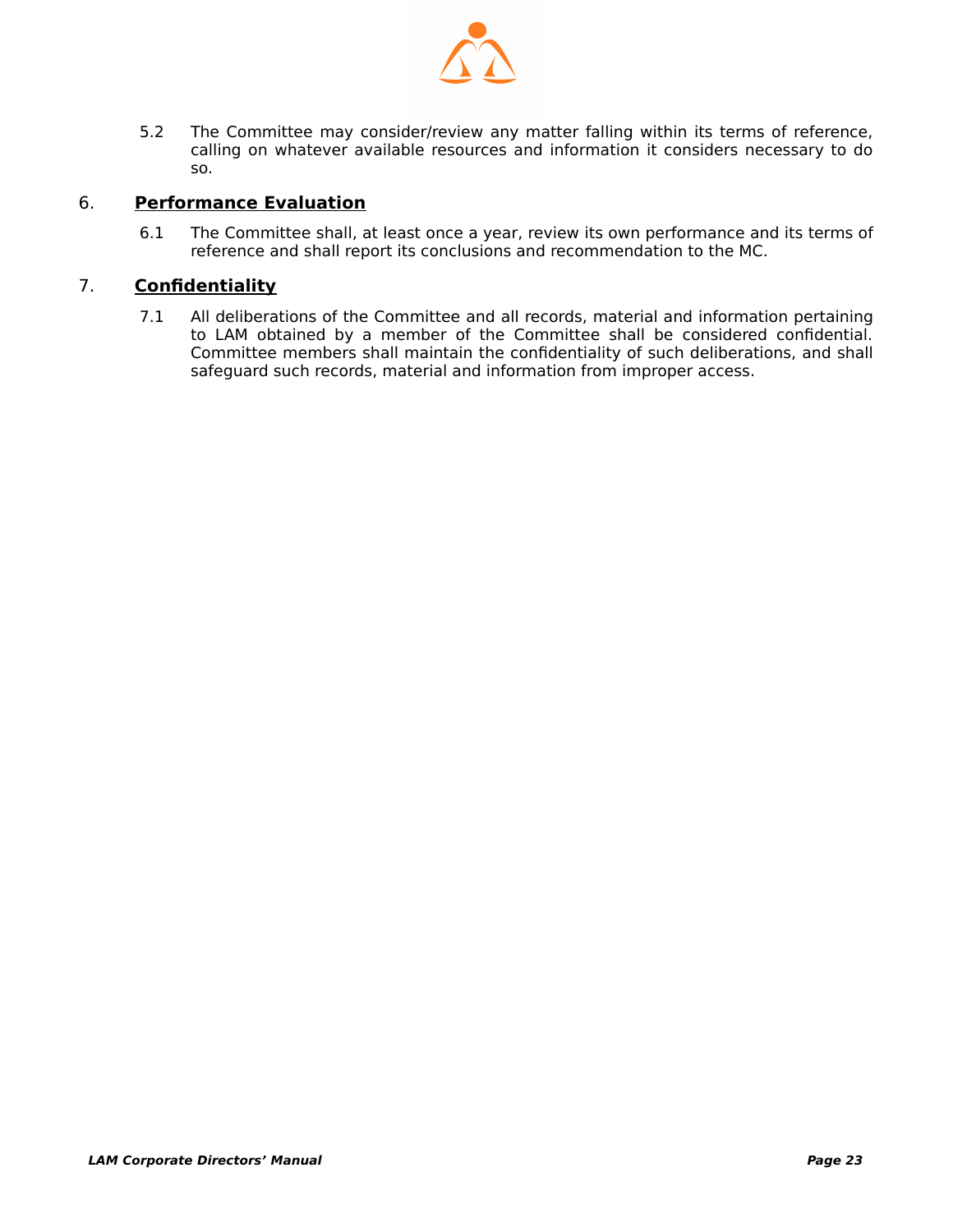

 5.2 The Committee may consider/review any matter falling within its terms of reference, calling on whatever available resources and information it considers necessary to do so.

#### 6. **Performance Evaluation**

 6.1 The Committee shall, at least once a year, review its own performance and its terms of reference and shall report its conclusions and recommendation to the MC.

#### 7. **Confidentiality**

 7.1 All deliberations of the Committee and all records, material and information pertaining to LAM obtained by a member of the Committee shall be considered confidential. Committee members shall maintain the confidentiality of such deliberations, and shall safeguard such records, material and information from improper access.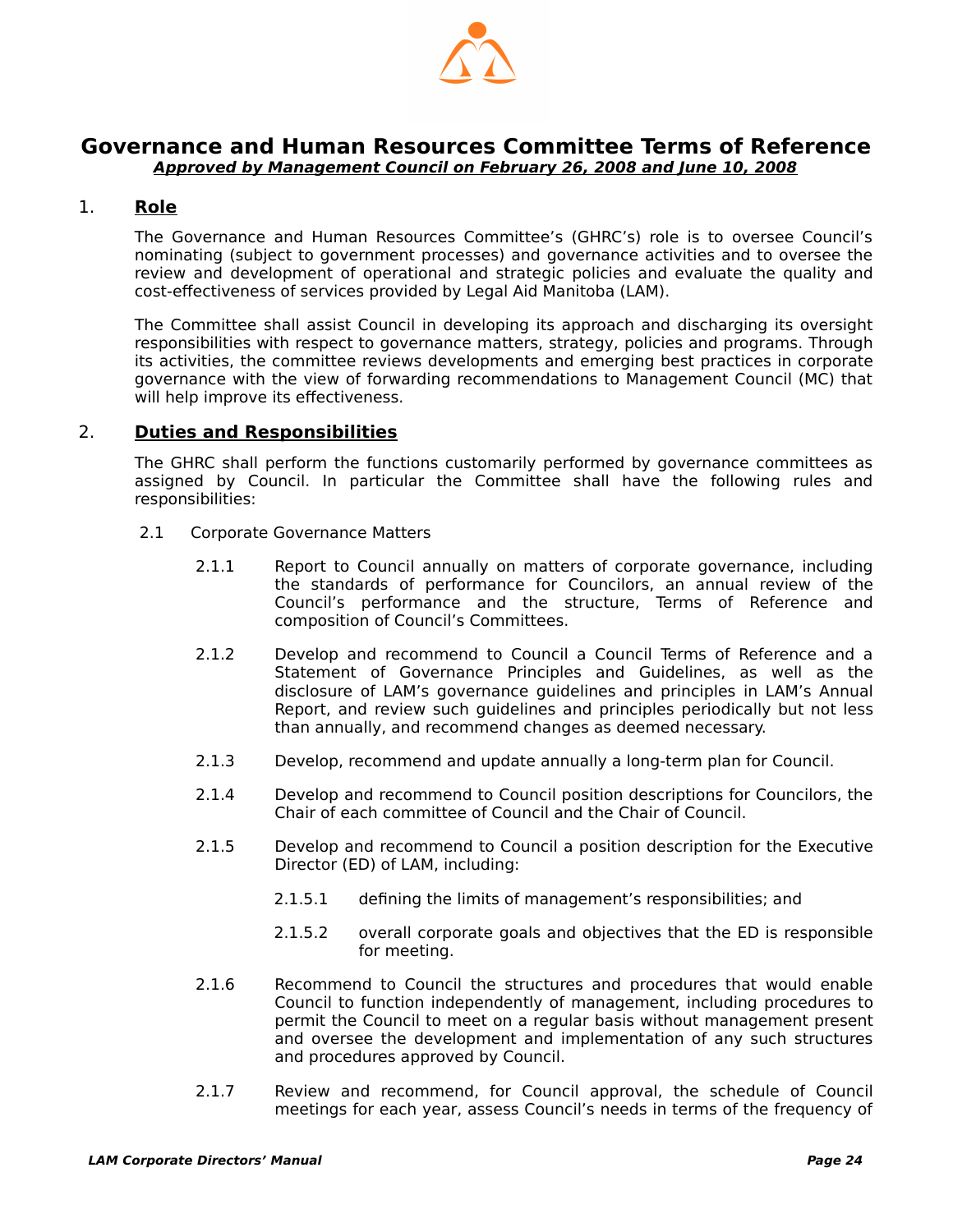

#### <span id="page-25-1"></span>**Governance and Human Resources Committee Terms of Reference Approved by Management Council on February 26, 2008 and June 10, 2008**

#### 1. **Role**

<span id="page-25-0"></span>The Governance and Human Resources Committee's (GHRC's) role is to oversee Council's nominating (subject to government processes) and governance activities and to oversee the review and development of operational and strategic policies and evaluate the quality and cost-effectiveness of services provided by Legal Aid Manitoba (LAM).

The Committee shall assist Council in developing its approach and discharging its oversight responsibilities with respect to governance matters, strategy, policies and programs. Through its activities, the committee reviews developments and emerging best practices in corporate governance with the view of forwarding recommendations to Management Council (MC) that will help improve its effectiveness.

#### 2. **Duties and Responsibilities**

The GHRC shall perform the functions customarily performed by governance committees as assigned by Council. In particular the Committee shall have the following rules and responsibilities:

- 2.1 Corporate Governance Matters
	- 2.1.1 Report to Council annually on matters of corporate governance, including the standards of performance for Councilors, an annual review of the Council's performance and the structure, Terms of Reference and composition of Council's Committees.
	- 2.1.2 Develop and recommend to Council a Council Terms of Reference and a Statement of Governance Principles and Guidelines, as well as the disclosure of LAM's governance guidelines and principles in LAM's Annual Report, and review such guidelines and principles periodically but not less than annually, and recommend changes as deemed necessary.
	- 2.1.3 Develop, recommend and update annually a long-term plan for Council.
	- 2.1.4 Develop and recommend to Council position descriptions for Councilors, the Chair of each committee of Council and the Chair of Council.
	- 2.1.5 Develop and recommend to Council a position description for the Executive Director (ED) of LAM, including:
		- 2.1.5.1 defining the limits of management's responsibilities; and
		- 2.1.5.2 overall corporate goals and objectives that the ED is responsible for meeting.
	- 2.1.6 Recommend to Council the structures and procedures that would enable Council to function independently of management, including procedures to permit the Council to meet on a regular basis without management present and oversee the development and implementation of any such structures and procedures approved by Council.
	- 2.1.7 Review and recommend, for Council approval, the schedule of Council meetings for each year, assess Council's needs in terms of the frequency of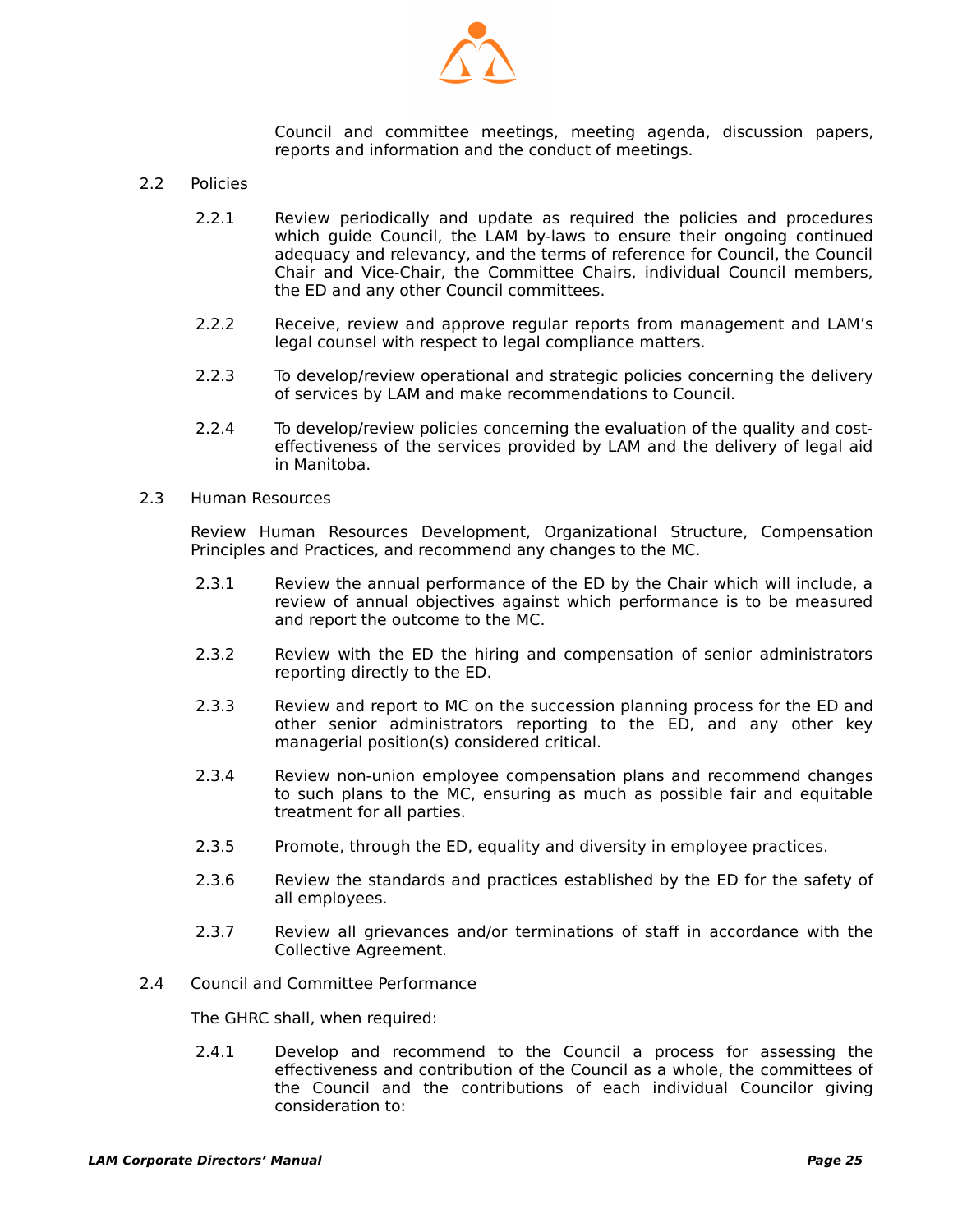

Council and committee meetings, meeting agenda, discussion papers, reports and information and the conduct of meetings.

- 2.2 Policies
	- 2.2.1 Review periodically and update as required the policies and procedures which guide Council, the LAM by-laws to ensure their ongoing continued adequacy and relevancy, and the terms of reference for Council, the Council Chair and Vice-Chair, the Committee Chairs, individual Council members, the ED and any other Council committees.
	- 2.2.2 Receive, review and approve regular reports from management and LAM's legal counsel with respect to legal compliance matters.
	- 2.2.3 To develop/review operational and strategic policies concerning the delivery of services by LAM and make recommendations to Council.
	- 2.2.4 To develop/review policies concerning the evaluation of the quality and costeffectiveness of the services provided by LAM and the delivery of legal aid in Manitoba.
- 2.3 Human Resources

Review Human Resources Development, Organizational Structure, Compensation Principles and Practices, and recommend any changes to the MC.

- 2.3.1 Review the annual performance of the ED by the Chair which will include, a review of annual objectives against which performance is to be measured and report the outcome to the MC.
- 2.3.2 Review with the ED the hiring and compensation of senior administrators reporting directly to the ED.
- 2.3.3 Review and report to MC on the succession planning process for the ED and other senior administrators reporting to the ED, and any other key managerial position(s) considered critical.
- 2.3.4 Review non-union employee compensation plans and recommend changes to such plans to the MC, ensuring as much as possible fair and equitable treatment for all parties.
- 2.3.5 Promote, through the ED, equality and diversity in employee practices.
- 2.3.6 Review the standards and practices established by the ED for the safety of all employees.
- 2.3.7 Review all grievances and/or terminations of staff in accordance with the Collective Agreement.
- 2.4 Council and Committee Performance

The GHRC shall, when required:

 2.4.1 Develop and recommend to the Council a process for assessing the effectiveness and contribution of the Council as a whole, the committees of the Council and the contributions of each individual Councilor giving consideration to: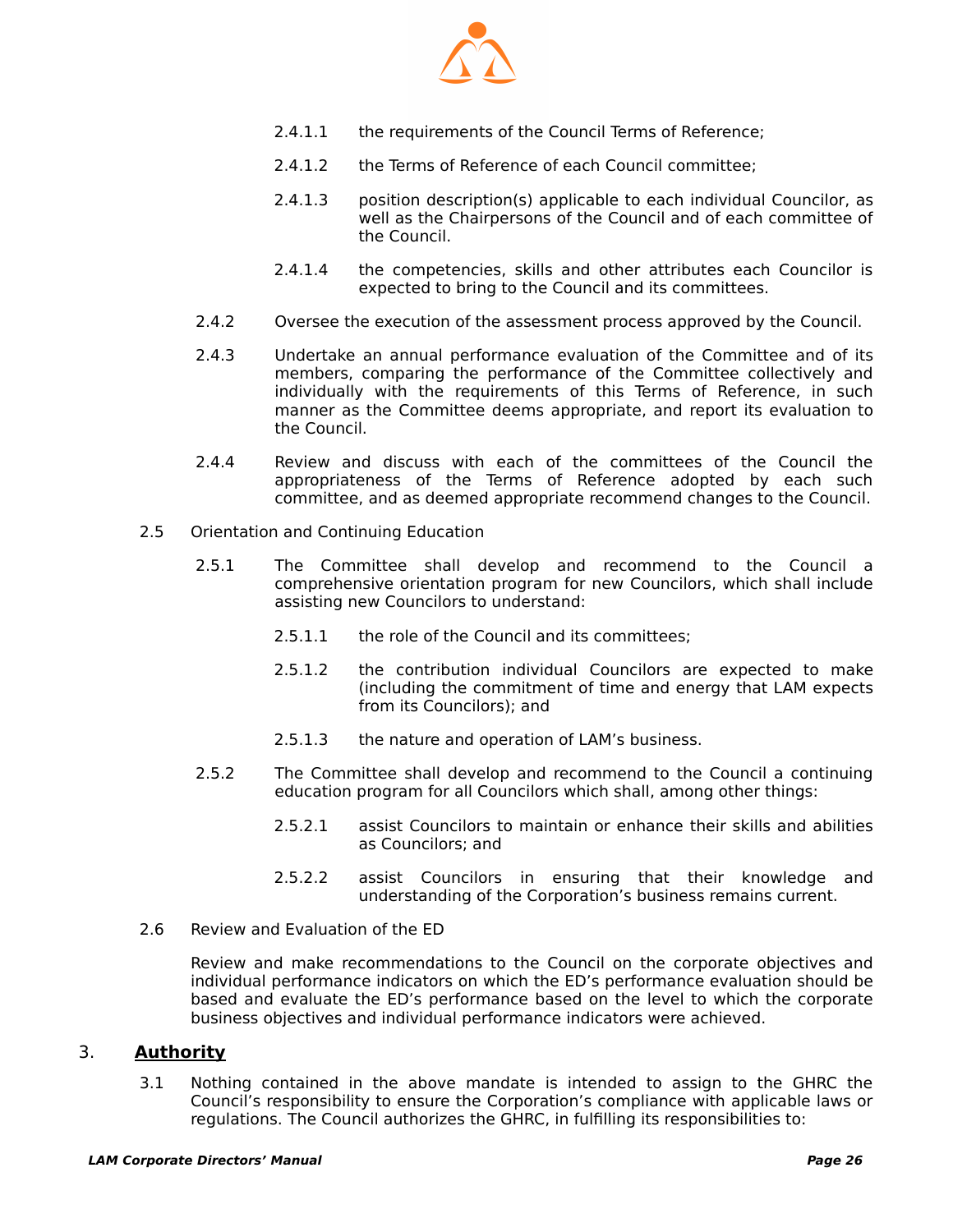

- 2.4.1.1 the requirements of the Council Terms of Reference;
- 2.4.1.2 the Terms of Reference of each Council committee;
- 2.4.1.3 position description(s) applicable to each individual Councilor, as well as the Chairpersons of the Council and of each committee of the Council.
- 2.4.1.4 the competencies, skills and other attributes each Councilor is expected to bring to the Council and its committees.
- 2.4.2 Oversee the execution of the assessment process approved by the Council.
- 2.4.3 Undertake an annual performance evaluation of the Committee and of its members, comparing the performance of the Committee collectively and individually with the requirements of this Terms of Reference, in such manner as the Committee deems appropriate, and report its evaluation to the Council.
- 2.4.4 Review and discuss with each of the committees of the Council the appropriateness of the Terms of Reference adopted by each such committee, and as deemed appropriate recommend changes to the Council.
- 2.5 Orientation and Continuing Education
	- 2.5.1 The Committee shall develop and recommend to the Council a comprehensive orientation program for new Councilors, which shall include assisting new Councilors to understand:
		- 2.5.1.1 the role of the Council and its committees;
		- 2.5.1.2 the contribution individual Councilors are expected to make (including the commitment of time and energy that LAM expects from its Councilors); and
		- 2.5.1.3 the nature and operation of LAM's business.
	- 2.5.2 The Committee shall develop and recommend to the Council a continuing education program for all Councilors which shall, among other things:
		- 2.5.2.1 assist Councilors to maintain or enhance their skills and abilities as Councilors; and
		- 2.5.2.2 assist Councilors in ensuring that their knowledge and understanding of the Corporation's business remains current.
- 2.6 Review and Evaluation of the ED

Review and make recommendations to the Council on the corporate objectives and individual performance indicators on which the ED's performance evaluation should be based and evaluate the ED's performance based on the level to which the corporate business objectives and individual performance indicators were achieved.

#### 3. **Authority**

 3.1 Nothing contained in the above mandate is intended to assign to the GHRC the Council's responsibility to ensure the Corporation's compliance with applicable laws or regulations. The Council authorizes the GHRC, in fulfilling its responsibilities to: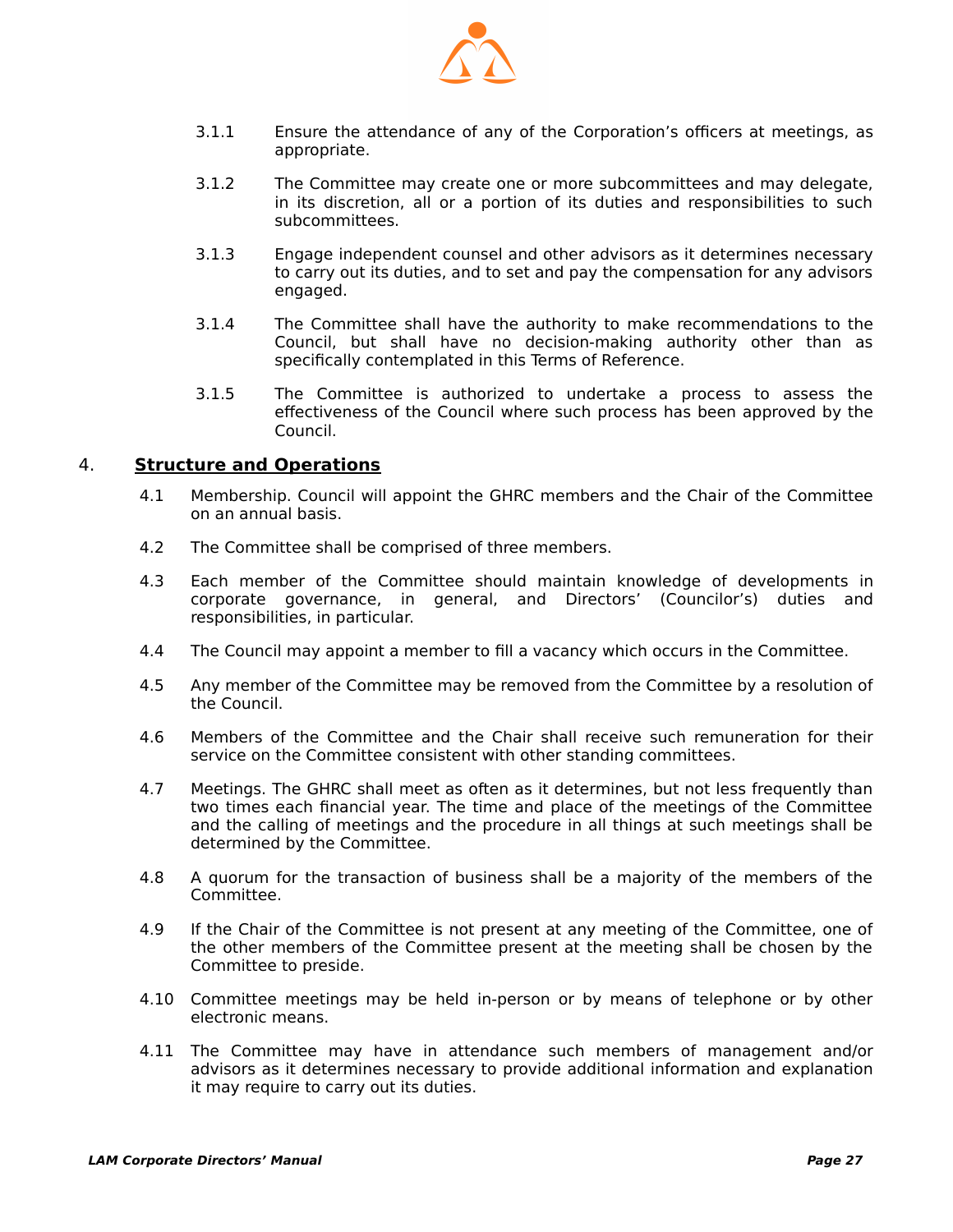

- 3.1.1 Ensure the attendance of any of the Corporation's officers at meetings, as appropriate.
- 3.1.2 The Committee may create one or more subcommittees and may delegate, in its discretion, all or a portion of its duties and responsibilities to such subcommittees.
- 3.1.3 Engage independent counsel and other advisors as it determines necessary to carry out its duties, and to set and pay the compensation for any advisors engaged.
- 3.1.4 The Committee shall have the authority to make recommendations to the Council, but shall have no decision-making authority other than as specifically contemplated in this Terms of Reference.
- 3.1.5 The Committee is authorized to undertake a process to assess the effectiveness of the Council where such process has been approved by the Council.

#### 4. **Structure and Operations**

- 4.1 Membership. Council will appoint the GHRC members and the Chair of the Committee on an annual basis.
- 4.2 The Committee shall be comprised of three members.
- 4.3 Each member of the Committee should maintain knowledge of developments in corporate governance, in general, and Directors' (Councilor's) duties and responsibilities, in particular.
- 4.4 The Council may appoint a member to fill a vacancy which occurs in the Committee.
- 4.5 Any member of the Committee may be removed from the Committee by a resolution of the Council.
- 4.6 Members of the Committee and the Chair shall receive such remuneration for their service on the Committee consistent with other standing committees.
- 4.7 Meetings. The GHRC shall meet as often as it determines, but not less frequently than two times each financial year. The time and place of the meetings of the Committee and the calling of meetings and the procedure in all things at such meetings shall be determined by the Committee.
- 4.8 A quorum for the transaction of business shall be a majority of the members of the Committee.
- 4.9 If the Chair of the Committee is not present at any meeting of the Committee, one of the other members of the Committee present at the meeting shall be chosen by the Committee to preside.
- 4.10 Committee meetings may be held in-person or by means of telephone or by other electronic means.
- 4.11 The Committee may have in attendance such members of management and/or advisors as it determines necessary to provide additional information and explanation it may require to carry out its duties.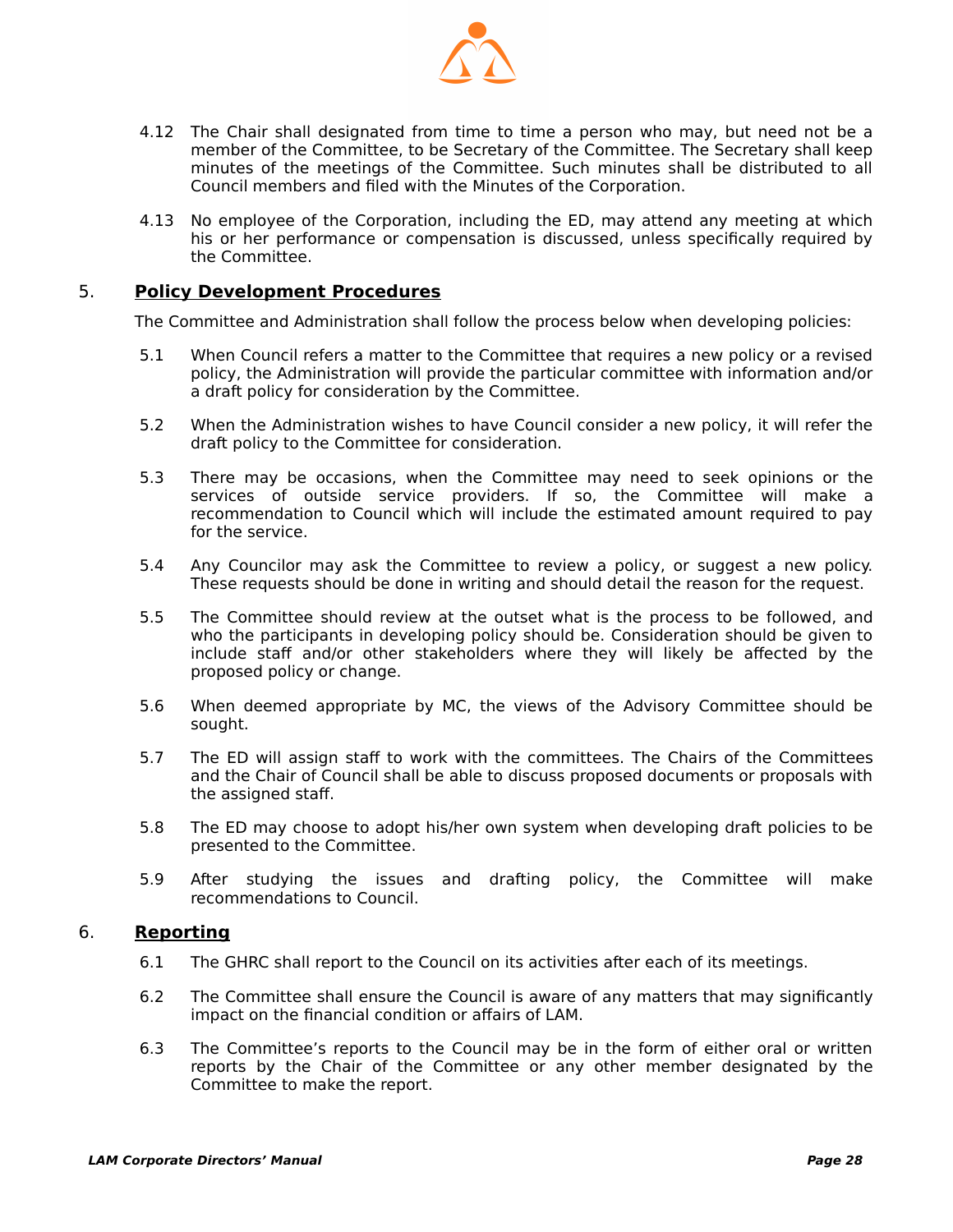

- 4.12 The Chair shall designated from time to time a person who may, but need not be a member of the Committee, to be Secretary of the Committee. The Secretary shall keep minutes of the meetings of the Committee. Such minutes shall be distributed to all Council members and filed with the Minutes of the Corporation.
- 4.13 No employee of the Corporation, including the ED, may attend any meeting at which his or her performance or compensation is discussed, unless specifically required by the Committee.

#### 5. **Policy Development Procedures**

The Committee and Administration shall follow the process below when developing policies:

- 5.1 When Council refers a matter to the Committee that requires a new policy or a revised policy, the Administration will provide the particular committee with information and/or a draft policy for consideration by the Committee.
- 5.2 When the Administration wishes to have Council consider a new policy, it will refer the draft policy to the Committee for consideration.
- 5.3 There may be occasions, when the Committee may need to seek opinions or the services of outside service providers. If so, the Committee will make a recommendation to Council which will include the estimated amount required to pay for the service.
- 5.4 Any Councilor may ask the Committee to review a policy, or suggest a new policy. These requests should be done in writing and should detail the reason for the request.
- 5.5 The Committee should review at the outset what is the process to be followed, and who the participants in developing policy should be. Consideration should be given to include staff and/or other stakeholders where they will likely be affected by the proposed policy or change.
- 5.6 When deemed appropriate by MC, the views of the Advisory Committee should be sought.
- 5.7 The ED will assign staff to work with the committees. The Chairs of the Committees and the Chair of Council shall be able to discuss proposed documents or proposals with the assigned staff.
- 5.8 The ED may choose to adopt his/her own system when developing draft policies to be presented to the Committee.
- 5.9 After studying the issues and drafting policy, the Committee will make recommendations to Council.

#### 6. **Reporting**

- 6.1 The GHRC shall report to the Council on its activities after each of its meetings.
- 6.2 The Committee shall ensure the Council is aware of any matters that may significantly impact on the financial condition or affairs of LAM.
- 6.3 The Committee's reports to the Council may be in the form of either oral or written reports by the Chair of the Committee or any other member designated by the Committee to make the report.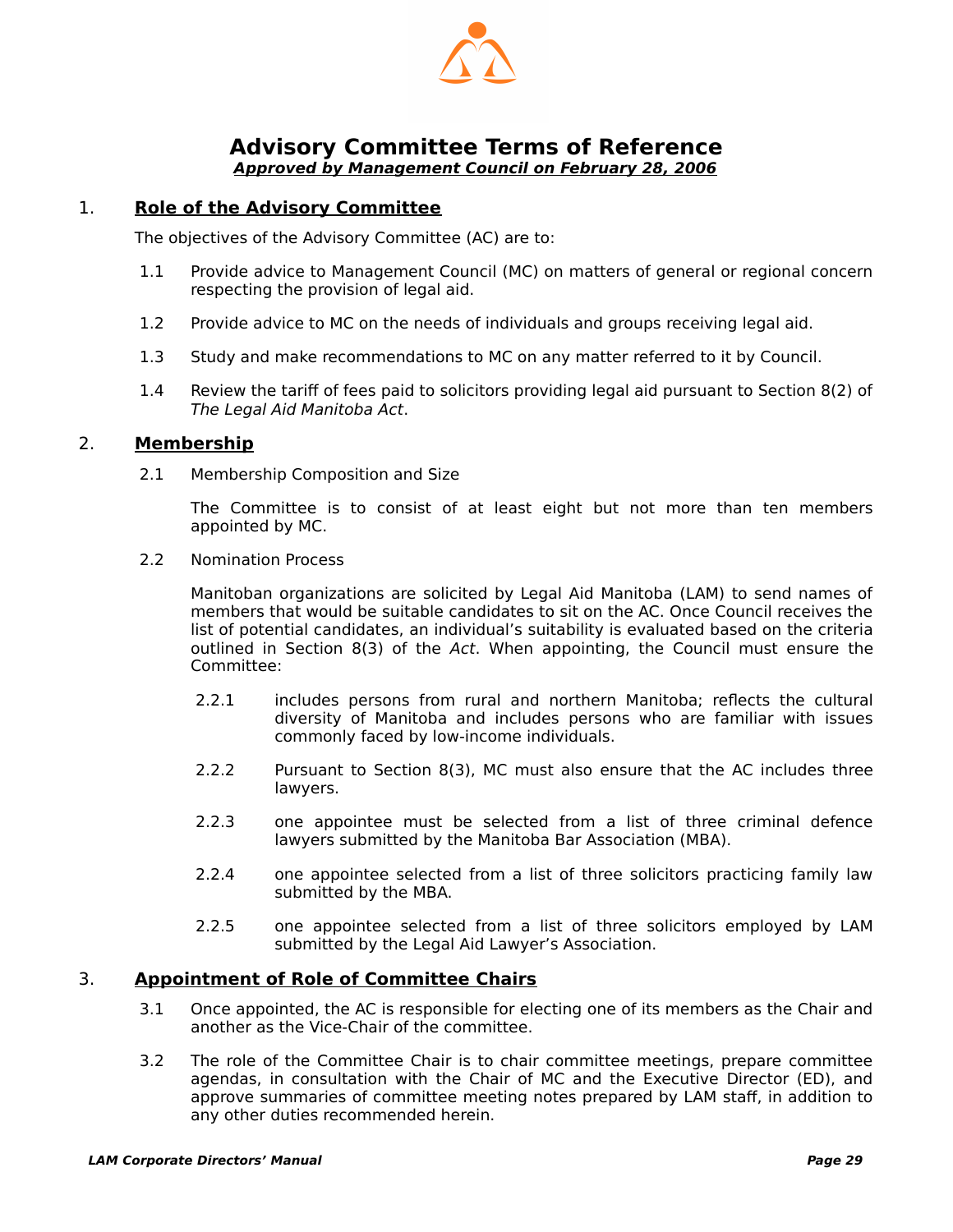

#### <span id="page-30-1"></span><span id="page-30-0"></span>**Advisory Committee Terms of Reference Approved by Management Council on February 28, 2006**

#### 1. **Role of the Advisory Committee**

The objectives of the Advisory Committee (AC) are to:

- 1.1 Provide advice to Management Council (MC) on matters of general or regional concern respecting the provision of legal aid.
- 1.2 Provide advice to MC on the needs of individuals and groups receiving legal aid.
- 1.3 Study and make recommendations to MC on any matter referred to it by Council.
- 1.4 Review the tariff of fees paid to solicitors providing legal aid pursuant to Section 8(2) of The Legal Aid Manitoba Act.

#### 2. **Membership**

2.1 Membership Composition and Size

The Committee is to consist of at least eight but not more than ten members appointed by MC.

2.2 Nomination Process

Manitoban organizations are solicited by Legal Aid Manitoba (LAM) to send names of members that would be suitable candidates to sit on the AC. Once Council receives the list of potential candidates, an individual's suitability is evaluated based on the criteria outlined in Section 8(3) of the Act. When appointing, the Council must ensure the Committee:

- 2.2.1 includes persons from rural and northern Manitoba; reflects the cultural diversity of Manitoba and includes persons who are familiar with issues commonly faced by low-income individuals.
- 2.2.2 Pursuant to Section 8(3), MC must also ensure that the AC includes three lawyers.
- 2.2.3 one appointee must be selected from a list of three criminal defence lawyers submitted by the Manitoba Bar Association (MBA).
- 2.2.4 one appointee selected from a list of three solicitors practicing family law submitted by the MBA.
- 2.2.5 one appointee selected from a list of three solicitors employed by LAM submitted by the Legal Aid Lawyer's Association.

#### 3. **Appointment of Role of Committee Chairs**

- 3.1 Once appointed, the AC is responsible for electing one of its members as the Chair and another as the Vice-Chair of the committee.
- 3.2 The role of the Committee Chair is to chair committee meetings, prepare committee agendas, in consultation with the Chair of MC and the Executive Director (ED), and approve summaries of committee meeting notes prepared by LAM staff, in addition to any other duties recommended herein.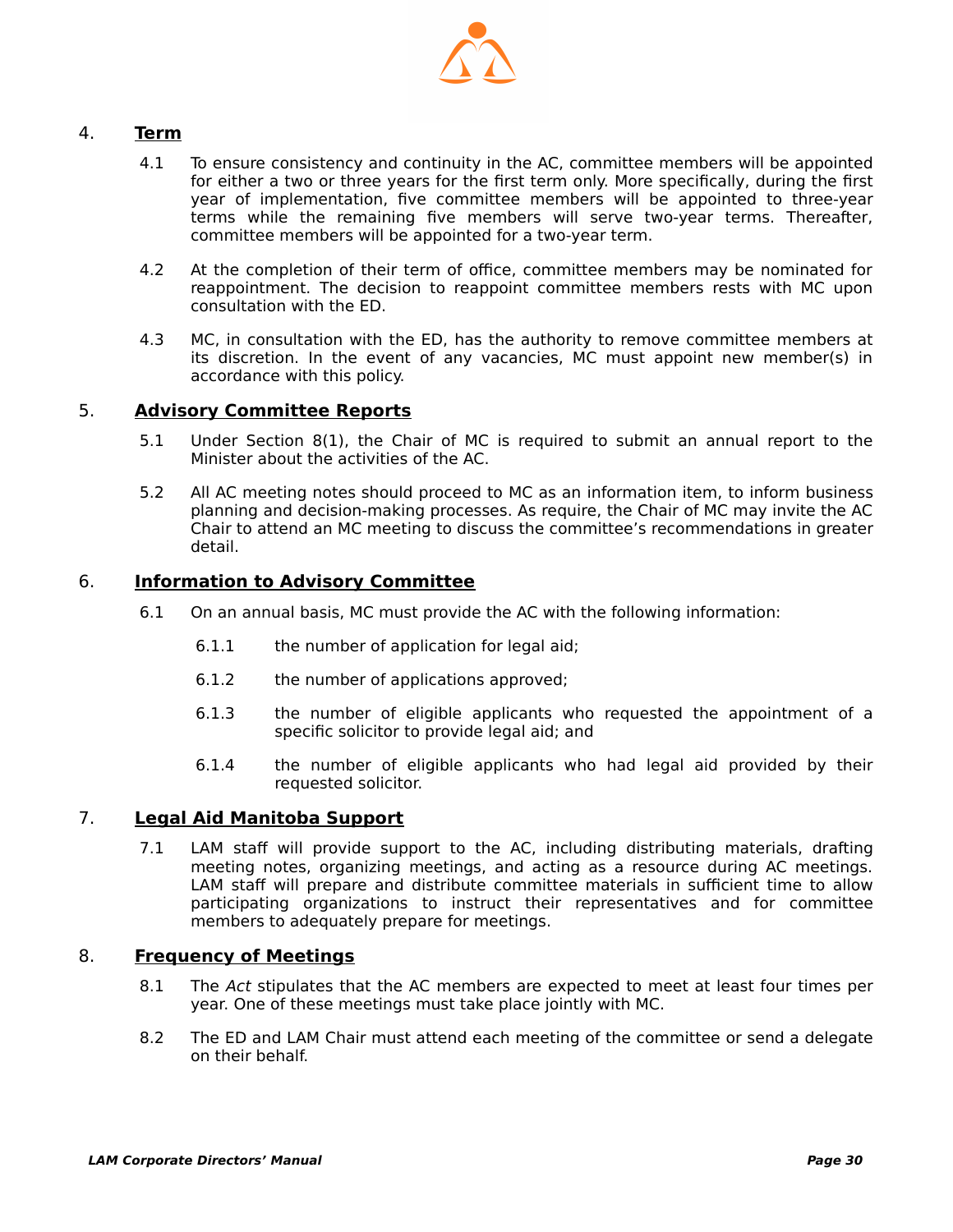

#### 4. **Term**

- 4.1 To ensure consistency and continuity in the AC, committee members will be appointed for either a two or three years for the first term only. More specifically, during the first year of implementation, five committee members will be appointed to three-year terms while the remaining five members will serve two-year terms. Thereafter, committee members will be appointed for a two-year term.
- 4.2 At the completion of their term of office, committee members may be nominated for reappointment. The decision to reappoint committee members rests with MC upon consultation with the ED.
- 4.3 MC, in consultation with the ED, has the authority to remove committee members at its discretion. In the event of any vacancies, MC must appoint new member(s) in accordance with this policy.

#### 5. **Advisory Committee Reports**

- 5.1 Under Section 8(1), the Chair of MC is required to submit an annual report to the Minister about the activities of the AC.
- 5.2 All AC meeting notes should proceed to MC as an information item, to inform business planning and decision-making processes. As require, the Chair of MC may invite the AC Chair to attend an MC meeting to discuss the committee's recommendations in greater detail.

#### 6. **Information to Advisory Committee**

- 6.1 On an annual basis, MC must provide the AC with the following information:
	- 6.1.1 the number of application for legal aid;
	- 6.1.2 the number of applications approved;
	- 6.1.3 the number of eligible applicants who requested the appointment of a specific solicitor to provide legal aid; and
	- 6.1.4 the number of eligible applicants who had legal aid provided by their requested solicitor.

#### 7. **Legal Aid Manitoba Support**

 7.1 LAM staff will provide support to the AC, including distributing materials, drafting meeting notes, organizing meetings, and acting as a resource during AC meetings. LAM staff will prepare and distribute committee materials in sufficient time to allow participating organizations to instruct their representatives and for committee members to adequately prepare for meetings.

#### 8. **Frequency of Meetings**

- 8.1 The Act stipulates that the AC members are expected to meet at least four times per year. One of these meetings must take place jointly with MC.
- 8.2 The ED and LAM Chair must attend each meeting of the committee or send a delegate on their behalf.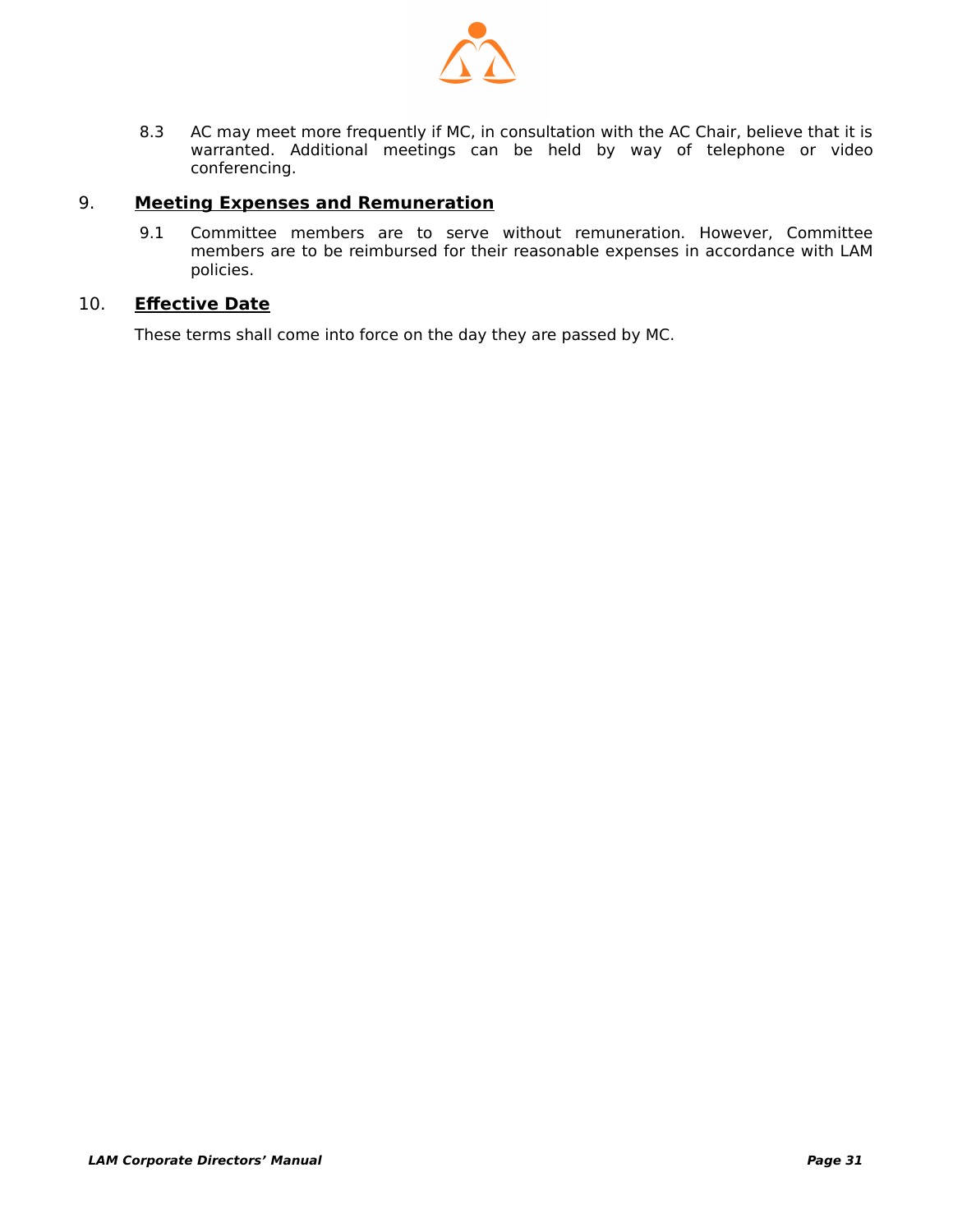

8.3 AC may meet more frequently if MC, in consultation with the AC Chair, believe that it is warranted. Additional meetings can be held by way of telephone or video conferencing.

#### 9. **Meeting Expenses and Remuneration**

 9.1 Committee members are to serve without remuneration. However, Committee members are to be reimbursed for their reasonable expenses in accordance with LAM policies.

#### 10. **Effective Date**

These terms shall come into force on the day they are passed by MC.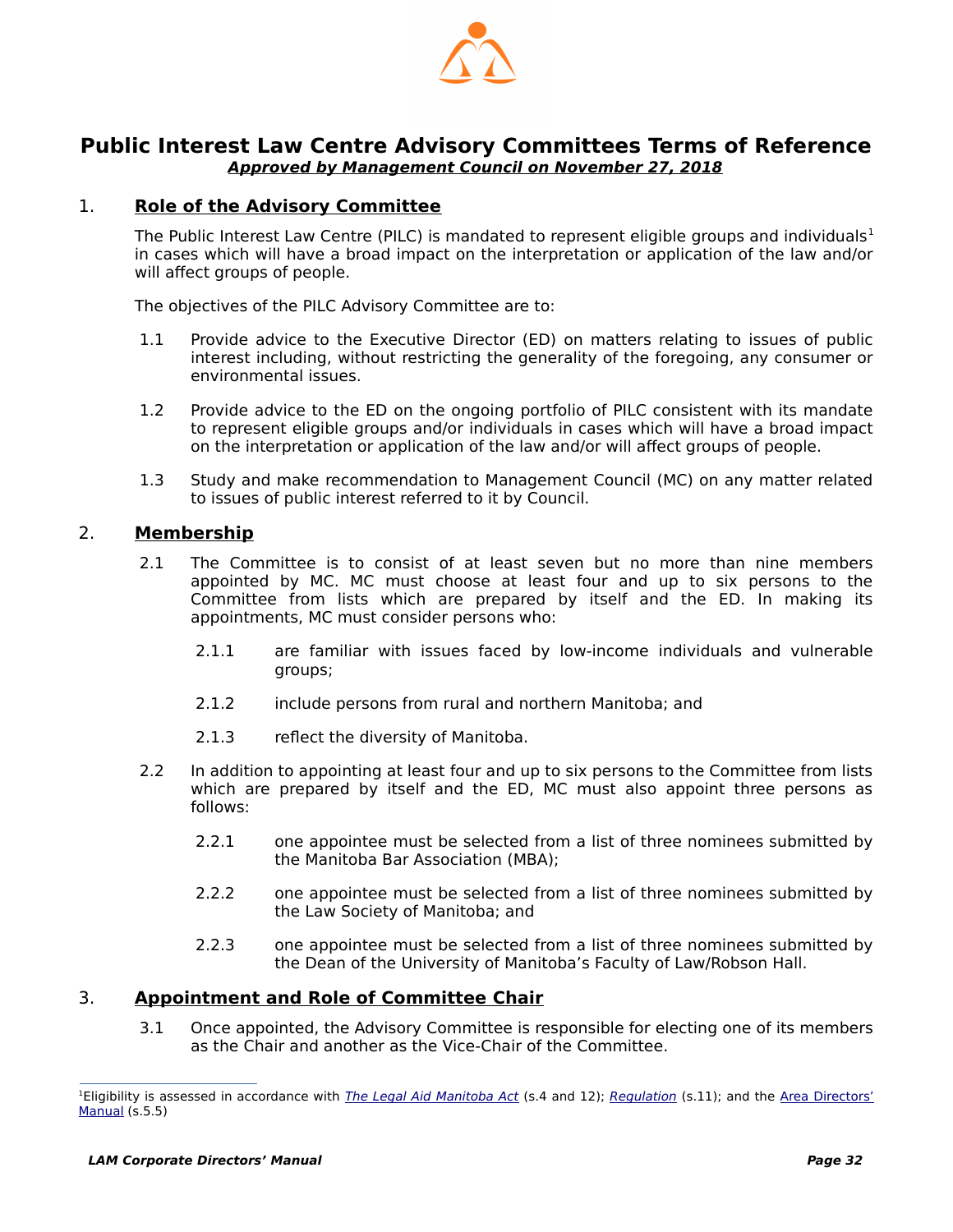

#### <span id="page-33-1"></span>**Public Interest Law Centre Advisory Committees Terms of Reference Approved by Management Council on November 27, 2018**

#### 1. **Role of the Advisory Committee**

<span id="page-33-0"></span>The Public Interest Law Centre (PILC) is mandated to represent eligible groups and individuals<sup>1</sup> in cases which will have a broad impact on the interpretation or application of the law and/or will affect groups of people.

The objectives of the PILC Advisory Committee are to:

- 1.1 Provide advice to the Executive Director (ED) on matters relating to issues of public interest including, without restricting the generality of the foregoing, any consumer or environmental issues.
- 1.2 Provide advice to the ED on the ongoing portfolio of PILC consistent with its mandate to represent eligible groups and/or individuals in cases which will have a broad impact on the interpretation or application of the law and/or will affect groups of people.
- 1.3 Study and make recommendation to Management Council (MC) on any matter related to issues of public interest referred to it by Council.

#### 2. **Membership**

- 2.1 The Committee is to consist of at least seven but no more than nine members appointed by MC. MC must choose at least four and up to six persons to the Committee from lists which are prepared by itself and the ED. In making its appointments, MC must consider persons who:
	- 2.1.1 are familiar with issues faced by low-income individuals and vulnerable groups;
	- 2.1.2 include persons from rural and northern Manitoba; and
	- 2.1.3 reflect the diversity of Manitoba.
- 2.2 In addition to appointing at least four and up to six persons to the Committee from lists which are prepared by itself and the ED, MC must also appoint three persons as follows:
	- 2.2.1 one appointee must be selected from a list of three nominees submitted by the Manitoba Bar Association (MBA);
	- 2.2.2 one appointee must be selected from a list of three nominees submitted by the Law Society of Manitoba; and
	- 2.2.3 one appointee must be selected from a list of three nominees submitted by the Dean of the University of Manitoba's Faculty of Law/Robson Hall.

#### 3. **Appointment and Role of Committee Chair**

 3.1 Once appointed, the Advisory Committee is responsible for electing one of its members as the Chair and another as the Vice-Chair of the Committee.

<sup>&</sup>lt;sup>1</sup>Eligibility is assessed in accordance with *[The Legal Aid Manitoba Act](https://web2.gov.mb.ca/laws/statutes/ccsm/l105e.php)* (s.4 and 12); [Regulation](https://web2.gov.mb.ca/laws/regs/current/_pdf-regs.php?reg=225/91) (s.11); and the [Area Directors'](http://www.legalaid.mb.ca/pdf/ADM_EXTERNAL_May27_2014.pdf) [Manual](http://www.legalaid.mb.ca/pdf/ADM_EXTERNAL_May27_2014.pdf) (s.5.5)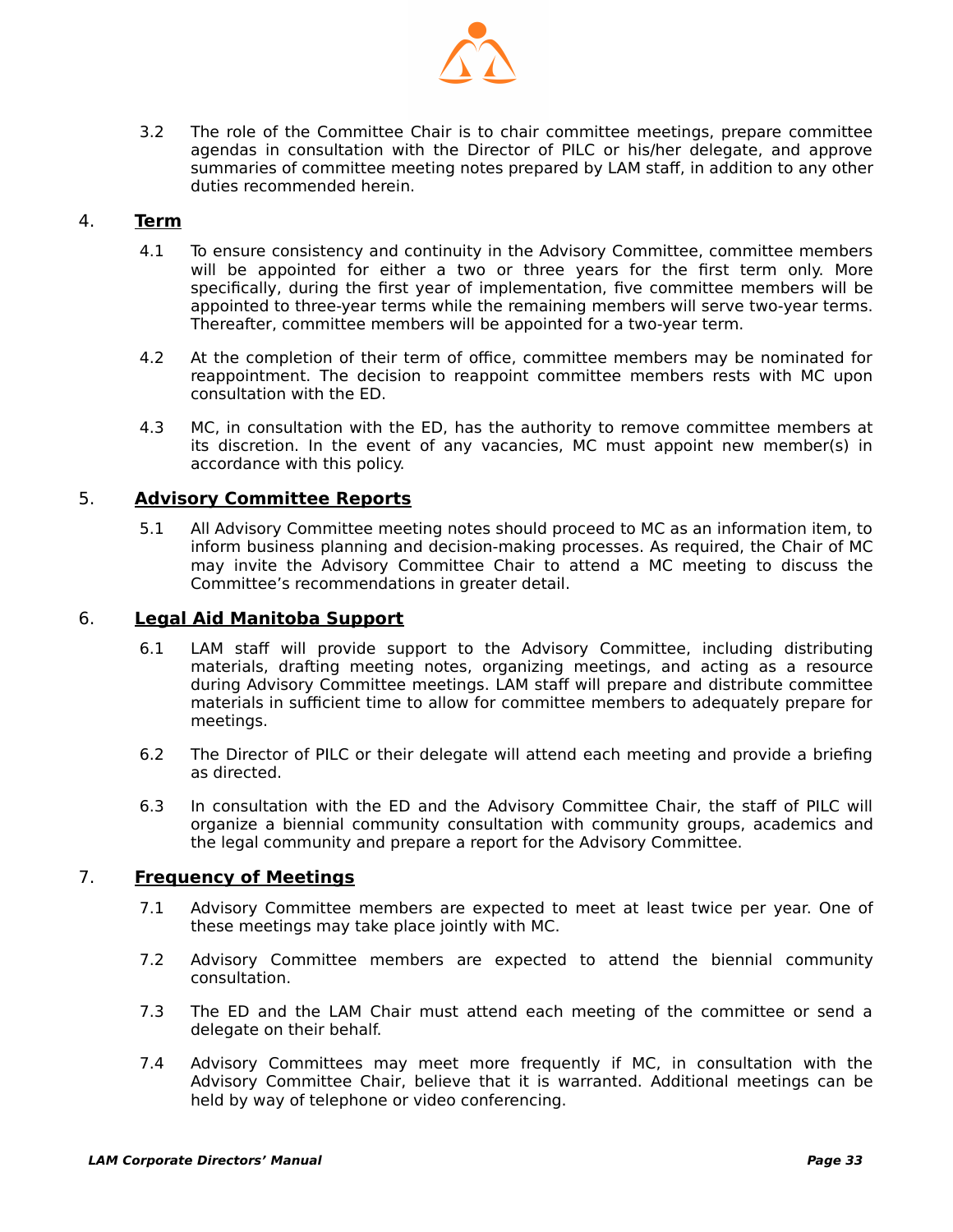

 3.2 The role of the Committee Chair is to chair committee meetings, prepare committee agendas in consultation with the Director of PILC or his/her delegate, and approve summaries of committee meeting notes prepared by LAM staff, in addition to any other duties recommended herein.

#### 4. **Term**

- 4.1 To ensure consistency and continuity in the Advisory Committee, committee members will be appointed for either a two or three years for the first term only. More specifically, during the first year of implementation, five committee members will be appointed to three-year terms while the remaining members will serve two-year terms. Thereafter, committee members will be appointed for a two-year term.
- 4.2 At the completion of their term of office, committee members may be nominated for reappointment. The decision to reappoint committee members rests with MC upon consultation with the ED.
- 4.3 MC, in consultation with the ED, has the authority to remove committee members at its discretion. In the event of any vacancies, MC must appoint new member(s) in accordance with this policy.

#### 5. **Advisory Committee Reports**

 5.1 All Advisory Committee meeting notes should proceed to MC as an information item, to inform business planning and decision-making processes. As required, the Chair of MC may invite the Advisory Committee Chair to attend a MC meeting to discuss the Committee's recommendations in greater detail.

#### 6. **Legal Aid Manitoba Support**

- 6.1 LAM staff will provide support to the Advisory Committee, including distributing materials, drafting meeting notes, organizing meetings, and acting as a resource during Advisory Committee meetings. LAM staff will prepare and distribute committee materials in sufficient time to allow for committee members to adequately prepare for meetings.
- 6.2 The Director of PILC or their delegate will attend each meeting and provide a briefing as directed.
- 6.3 In consultation with the ED and the Advisory Committee Chair, the staff of PILC will organize a biennial community consultation with community groups, academics and the legal community and prepare a report for the Advisory Committee.

#### 7. **Frequency of Meetings**

- 7.1 Advisory Committee members are expected to meet at least twice per year. One of these meetings may take place jointly with MC.
- 7.2 Advisory Committee members are expected to attend the biennial community consultation.
- 7.3 The ED and the LAM Chair must attend each meeting of the committee or send a delegate on their behalf.
- 7.4 Advisory Committees may meet more frequently if MC, in consultation with the Advisory Committee Chair, believe that it is warranted. Additional meetings can be held by way of telephone or video conferencing.